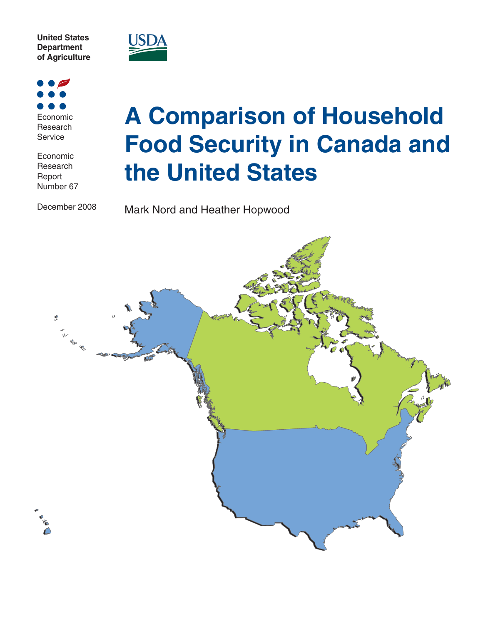



Economic Research **Service** 

Economic Research Report Number 67

December 2008

# **A Comparison of Household Food Security in Canada and the United States**

Mark Nord and Heather Hopwood

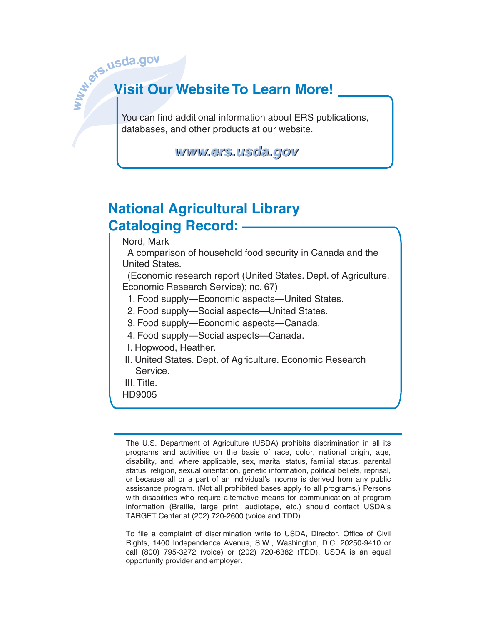# **www.ers.usda.go<sup>v</sup> Visit Our Website To Learn More!**

You can find additional information about ERS publications, databases, and other products at our website.

*www.ers.usda.gov www.ers.usda.gov*

# **National Agricultural Library Cataloging Record:**

Nord, Mark

 A comparison of household food security in Canada and the United States.

 (Economic research report (United States. Dept. of Agriculture. Economic Research Service); no. 67)

- 1. Food supply—Economic aspects—United States.
- 2. Food supply—Social aspects—United States.
- 3. Food supply—Economic aspects—Canada.
- 4. Food supply—Social aspects—Canada.
- I. Hopwood, Heather.
- II. United States. Dept. of Agriculture. Economic Research Service.
- III. Title.
- HD9005

The U.S. Department of Agriculture (USDA) prohibits discrimination in all its programs and activities on the basis of race, color, national origin, age, disability, and, where applicable, sex, marital status, familial status, parental status, religion, sexual orientation, genetic information, political beliefs, reprisal, or because all or a part of an individual's income is derived from any public assistance program. (Not all prohibited bases apply to all programs.) Persons with disabilities who require alternative means for communication of program information (Braille, large print, audiotape, etc.) should contact USDA's TARGET Center at (202) 720-2600 (voice and TDD).

To file a complaint of discrimination write to USDA, Director, Office of Civil Rights, 1400 Independence Avenue, S.W., Washington, D.C. 20250-9410 or call (800) 795-3272 (voice) or (202) 720-6382 (TDD). USDA is an equal opportunity provider and employer.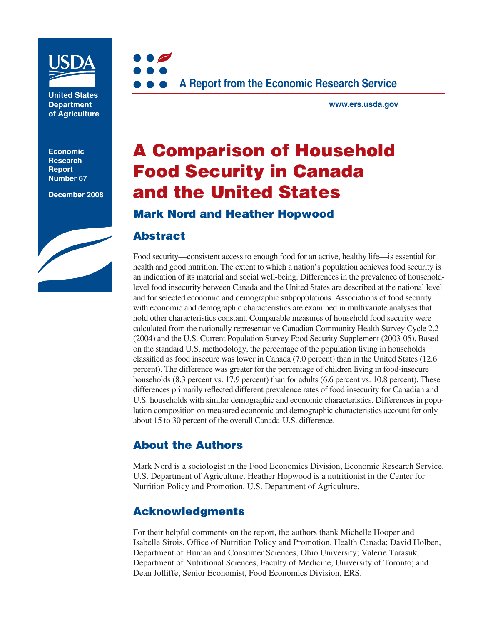

**United States Department of Agriculture**

**Economic Research Report Number 67**

**December 2008**





**www.ers.usda.gov**

# **A Comparison of Household Food Security in Canada and the United States**

# **Mark Nord and Heather Hopwood**

### **Abstract**

Food security—consistent access to enough food for an active, healthy life—is essential for health and good nutrition. The extent to which a nation's population achieves food security is an indication of its material and social well-being. Differences in the prevalence of householdlevel food insecurity between Canada and the United States are described at the national level and for selected economic and demographic subpopulations. Associations of food security with economic and demographic characteristics are examined in multivariate analyses that hold other characteristics constant. Comparable measures of household food security were calculated from the nationally representative Canadian Community Health Survey Cycle 2.2 (2004) and the U.S. Current Population Survey Food Security Supplement (2003-05). Based on the standard U.S. methodology, the percentage of the population living in households classified as food insecure was lower in Canada (7.0 percent) than in the United States (12.6 percent). The difference was greater for the percentage of children living in food-insecure households (8.3 percent vs. 17.9 percent) than for adults (6.6 percent vs. 10.8 percent). These differences primarily reflected different prevalence rates of food insecurity for Canadian and U.S. households with similar demographic and economic characteristics. Differences in population composition on measured economic and demographic characteristics account for only about 15 to 30 percent of the overall Canada-U.S. difference.

# **About the Authors**

Mark Nord is a sociologist in the Food Economics Division, Economic Research Service, U.S. Department of Agriculture. Heather Hopwood is a nutritionist in the Center for Nutrition Policy and Promotion, U.S. Department of Agriculture.

# **Acknowledgments**

For their helpful comments on the report, the authors thank Michelle Hooper and Isabelle Sirois, Office of Nutrition Policy and Promotion, Health Canada; David Holben, Department of Human and Consumer Sciences, Ohio University; Valerie Tarasuk, Department of Nutritional Sciences, Faculty of Medicine, University of Toronto; and Dean Jolliffe, Senior Economist, Food Economics Division, ERS.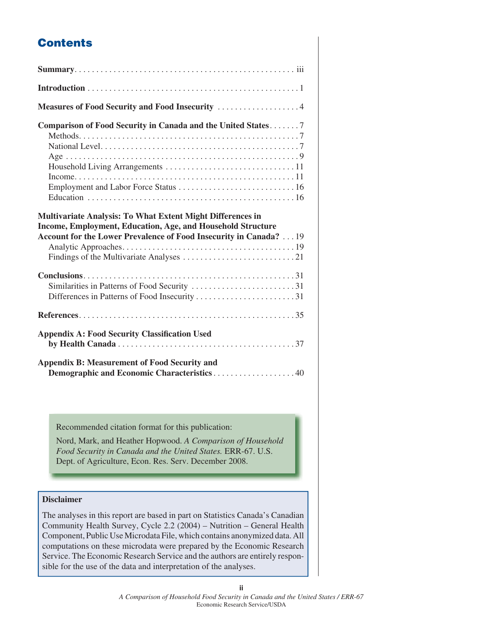# **Contents**

| Comparison of Food Security in Canada and the United States7                                                                                                                                           |
|--------------------------------------------------------------------------------------------------------------------------------------------------------------------------------------------------------|
| <b>Multivariate Analysis: To What Extent Might Differences in</b><br>Income, Employment, Education, Age, and Household Structure<br>Account for the Lower Prevalence of Food Insecurity in Canada?  19 |
| Similarities in Patterns of Food Security 31                                                                                                                                                           |
|                                                                                                                                                                                                        |
| <b>Appendix A: Food Security Classification Used</b>                                                                                                                                                   |
| <b>Appendix B: Measurement of Food Security and</b><br>Demographic and Economic Characteristics40                                                                                                      |

Recommended citation format for this publication:

Nord, Mark, and Heather Hopwood. *A Comparison of Household Food Security in Canada and the United States.* ERR-67. U.S. Dept. of Agriculture, Econ. Res. Serv. December 2008.

#### **Disclaimer**

The analyses in this report are based in part on Statistics Canada's Canadian Community Health Survey, Cycle 2.2 (2004) – Nutrition – General Health Component, Public Use Microdata File, which contains anonymized data. All computations on these microdata were prepared by the Economic Research Service. The Economic Research Service and the authors are entirely responsible for the use of the data and interpretation of the analyses.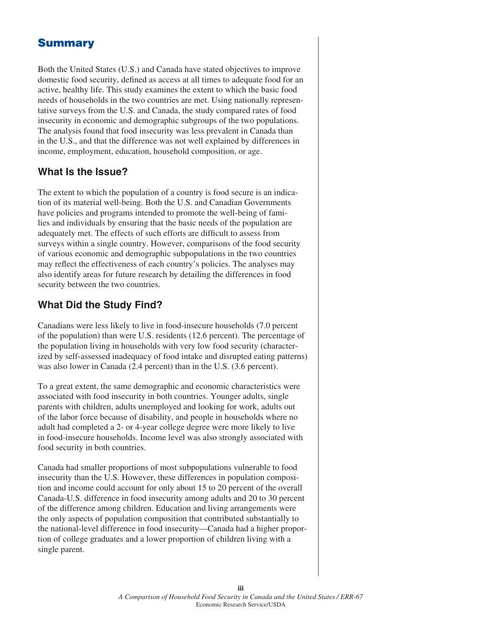# **Summary**

Both the United States (U.S.) and Canada have stated objectives to improve domestic food security, defined as access at all times to adequate food for an active, healthy life. This study examines the extent to which the basic food needs of households in the two countries are met. Using nationally representative surveys from the U.S. and Canada, the study compared rates of food insecurity in economic and demographic subgroups of the two populations. The analysis found that food insecurity was less prevalent in Canada than in the U.S., and that the difference was not well explained by differences in income, employment, education, household composition, or age.

# **What Is the Issue?**

The extent to which the population of a country is food secure is an indication of its material well-being. Both the U.S. and Canadian Governments have policies and programs intended to promote the well-being of families and individuals by ensuring that the basic needs of the population are adequately met. The effects of such efforts are difficult to assess from surveys within a single country. However, comparisons of the food security of various economic and demographic subpopulations in the two countries may reflect the effectiveness of each country's policies. The analyses may also identify areas for future research by detailing the differences in food security between the two countries.

# **What Did the Study Find?**

Canadians were less likely to live in food-insecure households (7.0 percent of the population) than were U.S. residents (12.6 percent). The percentage of the population living in households with very low food security (characterized by self-assessed inadequacy of food intake and disrupted eating patterns) was also lower in Canada (2.4 percent) than in the U.S. (3.6 percent).

To a great extent, the same demographic and economic characteristics were associated with food insecurity in both countries. Younger adults, single parents with children, adults unemployed and looking for work, adults out of the labor force because of disability, and people in households where no adult had completed a 2- or 4-year college degree were more likely to live in food-insecure households. Income level was also strongly associated with food security in both countries.

Canada had smaller proportions of most subpopulations vulnerable to food insecurity than the U.S. However, these differences in population composition and income could account for only about 15 to 20 percent of the overall Canada-U.S. difference in food insecurity among adults and 20 to 30 percent of the difference among children. Education and living arrangements were the only aspects of population composition that contributed substantially to the national-level difference in food insecurity—Canada had a higher proportion of college graduates and a lower proportion of children living with a single parent.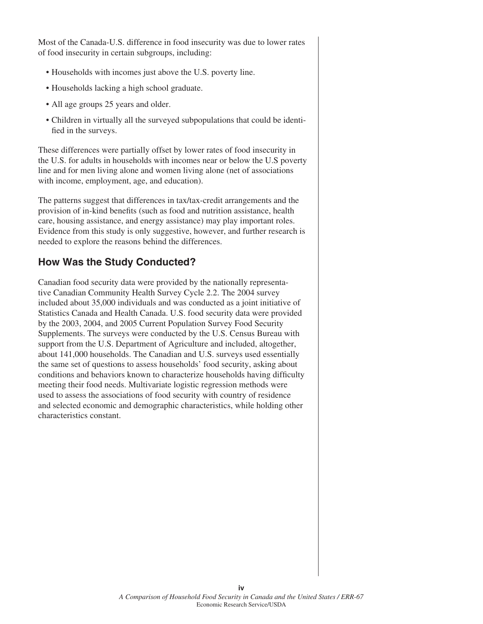Most of the Canada-U.S. difference in food insecurity was due to lower rates of food insecurity in certain subgroups, including:

- Households with incomes just above the U.S. poverty line.
- Households lacking a high school graduate.
- All age groups 25 years and older.
- Children in virtually all the surveyed subpopulations that could be identified in the surveys.

These differences were partially offset by lower rates of food insecurity in the U.S. for adults in households with incomes near or below the U.S poverty line and for men living alone and women living alone (net of associations with income, employment, age, and education).

The patterns suggest that differences in tax/tax-credit arrangements and the provision of in-kind benefits (such as food and nutrition assistance, health care, housing assistance, and energy assistance) may play important roles. Evidence from this study is only suggestive, however, and further research is needed to explore the reasons behind the differences.

# **How Was the Study Conducted?**

Canadian food security data were provided by the nationally representative Canadian Community Health Survey Cycle 2.2. The 2004 survey included about 35,000 individuals and was conducted as a joint initiative of Statistics Canada and Health Canada. U.S. food security data were provided by the 2003, 2004, and 2005 Current Population Survey Food Security Supplements. The surveys were conducted by the U.S. Census Bureau with support from the U.S. Department of Agriculture and included, altogether, about 141,000 households. The Canadian and U.S. surveys used essentially the same set of questions to assess households' food security, asking about conditions and behaviors known to characterize households having difficulty meeting their food needs. Multivariate logistic regression methods were used to assess the associations of food security with country of residence and selected economic and demographic characteristics, while holding other characteristics constant.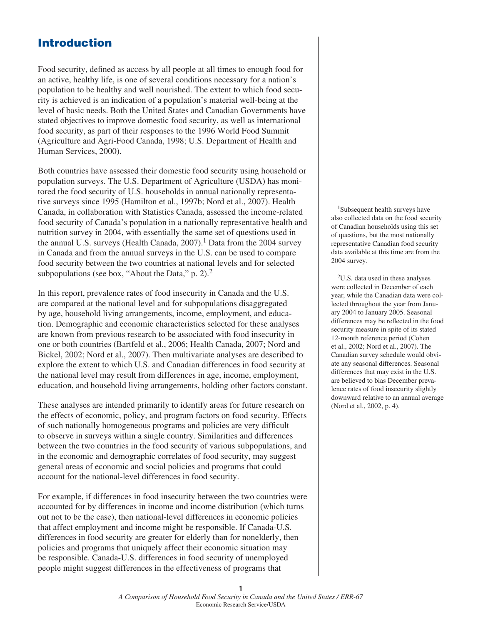# **Introduction**

Food security, defined as access by all people at all times to enough food for an active, healthy life, is one of several conditions necessary for a nation's population to be healthy and well nourished. The extent to which food security is achieved is an indication of a population's material well-being at the level of basic needs. Both the United States and Canadian Governments have stated objectives to improve domestic food security, as well as international food security, as part of their responses to the 1996 World Food Summit (Agriculture and Agri-Food Canada, 1998; U.S. Department of Health and Human Services, 2000).

Both countries have assessed their domestic food security using household or population surveys. The U.S. Department of Agriculture (USDA) has monitored the food security of U.S. households in annual nationally representative surveys since 1995 (Hamilton et al., 1997b; Nord et al., 2007). Health Canada, in collaboration with Statistics Canada, assessed the income-related food security of Canada's population in a nationally representative health and nutrition survey in 2004, with essentially the same set of questions used in the annual U.S. surveys (Health Canada,  $2007$ ).<sup>1</sup> Data from the 2004 survey in Canada and from the annual surveys in the U.S. can be used to compare food security between the two countries at national levels and for selected subpopulations (see box, "About the Data,"  $p$ . 2).<sup>2</sup>

In this report, prevalence rates of food insecurity in Canada and the U.S. are compared at the national level and for subpopulations disaggregated by age, household living arrangements, income, employment, and education. Demographic and economic characteristics selected for these analyses are known from previous research to be associated with food insecurity in one or both countries (Bartfeld et al., 2006; Health Canada, 2007; Nord and Bickel, 2002; Nord et al., 2007). Then multivariate analyses are described to explore the extent to which U.S. and Canadian differences in food security at the national level may result from differences in age, income, employment, education, and household living arrangements, holding other factors constant.

These analyses are intended primarily to identify areas for future research on the effects of economic, policy, and program factors on food security. Effects of such nationally homogeneous programs and policies are very difficult to observe in surveys within a single country. Similarities and differences between the two countries in the food security of various subpopulations, and in the economic and demographic correlates of food security, may suggest general areas of economic and social policies and programs that could account for the national-level differences in food security.

For example, if differences in food insecurity between the two countries were accounted for by differences in income and income distribution (which turns out not to be the case), then national-level differences in economic policies that affect employment and income might be responsible. If Canada-U.S. differences in food security are greater for elderly than for nonelderly, then policies and programs that uniquely affect their economic situation may be responsible. Canada-U.S. differences in food security of unemployed people might suggest differences in the effectiveness of programs that

 1Subsequent health surveys have also collected data on the food security of Canadian households using this set of questions, but the most nationally representative Canadian food security data available at this time are from the 2004 survey.

 2U.S. data used in these analyses were collected in December of each year, while the Canadian data were collected throughout the year from January 2004 to January 2005. Seasonal differences may be reflected in the food security measure in spite of its stated 12-month reference period (Cohen et al., 2002; Nord et al., 2007). The Canadian survey schedule would obviate any seasonal differences. Seasonal differences that may exist in the U.S. are believed to bias December prevalence rates of food insecurity slightly downward relative to an annual average (Nord et al., 2002, p. 4).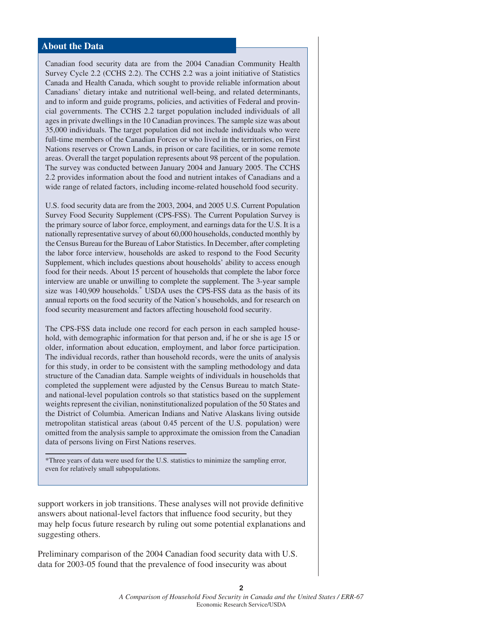#### **About the Data**

Canadian food security data are from the 2004 Canadian Community Health Survey Cycle 2.2 (CCHS 2.2). The CCHS 2.2 was a joint initiative of Statistics Canada and Health Canada, which sought to provide reliable information about Canadians' dietary intake and nutritional well-being, and related determinants, and to inform and guide programs, policies, and activities of Federal and provincial governments. The CCHS 2.2 target population included individuals of all ages in private dwellings in the 10 Canadian provinces. The sample size was about 35,000 individuals. The target population did not include individuals who were full-time members of the Canadian Forces or who lived in the territories, on First Nations reserves or Crown Lands, in prison or care facilities, or in some remote areas. Overall the target population represents about 98 percent of the population. The survey was conducted between January 2004 and January 2005. The CCHS 2.2 provides information about the food and nutrient intakes of Canadians and a wide range of related factors, including income-related household food security.

U.S. food security data are from the 2003, 2004, and 2005 U.S. Current Population Survey Food Security Supplement (CPS-FSS). The Current Population Survey is the primary source of labor force, employment, and earnings data for the U.S. It is a nationally representative survey of about 60,000 households, conducted monthly by the Census Bureau for the Bureau of Labor Statistics. In December, after completing the labor force interview, households are asked to respond to the Food Security Supplement, which includes questions about households' ability to access enough food for their needs. About 15 percent of households that complete the labor force interview are unable or unwilling to complete the supplement. The 3-year sample size was 140,909 households.\* USDA uses the CPS-FSS data as the basis of its annual reports on the food security of the Nation's households, and for research on food security measurement and factors affecting household food security.

The CPS-FSS data include one record for each person in each sampled household, with demographic information for that person and, if he or she is age 15 or older, information about education, employment, and labor force participation. The individual records, rather than household records, were the units of analysis for this study, in order to be consistent with the sampling methodology and data structure of the Canadian data. Sample weights of individuals in households that completed the supplement were adjusted by the Census Bureau to match Stateand national-level population controls so that statistics based on the supplement weights represent the civilian, noninstitutionalized population of the 50 States and the District of Columbia. American Indians and Native Alaskans living outside metropolitan statistical areas (about 0.45 percent of the U.S. population) were omitted from the analysis sample to approximate the omission from the Canadian data of persons living on First Nations reserves.

\*Three years of data were used for the U.S. statistics to minimize the sampling error, even for relatively small subpopulations.

support workers in job transitions. These analyses will not provide definitive answers about national-level factors that influence food security, but they may help focus future research by ruling out some potential explanations and suggesting others.

Preliminary comparison of the 2004 Canadian food security data with U.S. data for 2003-05 found that the prevalence of food insecurity was about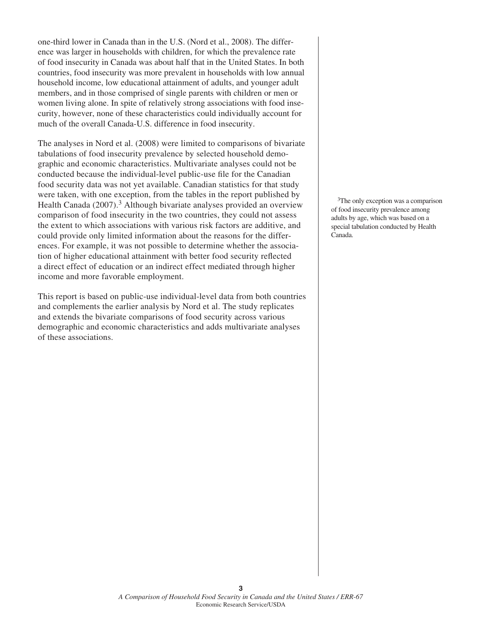one-third lower in Canada than in the U.S. (Nord et al., 2008). The difference was larger in households with children, for which the prevalence rate of food insecurity in Canada was about half that in the United States. In both countries, food insecurity was more prevalent in households with low annual household income, low educational attainment of adults, and younger adult members, and in those comprised of single parents with children or men or women living alone. In spite of relatively strong associations with food insecurity, however, none of these characteristics could individually account for much of the overall Canada-U.S. difference in food insecurity.

The analyses in Nord et al. (2008) were limited to comparisons of bivariate tabulations of food insecurity prevalence by selected household demographic and economic characteristics. Multivariate analyses could not be conducted because the individual-level public-use file for the Canadian food security data was not yet available. Canadian statistics for that study were taken, with one exception, from the tables in the report published by Health Canada  $(2007)$ .<sup>3</sup> Although bivariate analyses provided an overview comparison of food insecurity in the two countries, they could not assess the extent to which associations with various risk factors are additive, and could provide only limited information about the reasons for the differences. For example, it was not possible to determine whether the association of higher educational attainment with better food security reflected a direct effect of education or an indirect effect mediated through higher income and more favorable employment.

This report is based on public-use individual-level data from both countries and complements the earlier analysis by Nord et al. The study replicates and extends the bivariate comparisons of food security across various demographic and economic characteristics and adds multivariate analyses of these associations.

<sup>3</sup>The only exception was a comparison of food insecurity prevalence among adults by age, which was based on a special tabulation conducted by Health Canada.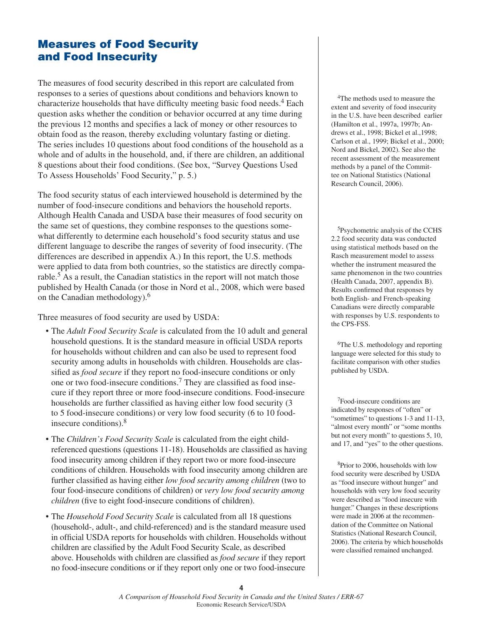# **Measures of Food Security and Food Insecurity**

The measures of food security described in this report are calculated from responses to a series of questions about conditions and behaviors known to characterize households that have difficulty meeting basic food needs.<sup>4</sup> Each question asks whether the condition or behavior occurred at any time during the previous 12 months and specifies a lack of money or other resources to obtain food as the reason, thereby excluding voluntary fasting or dieting. The series includes 10 questions about food conditions of the household as a whole and of adults in the household, and, if there are children, an additional 8 questions about their food conditions. (See box, "Survey Questions Used To Assess Households' Food Security," p. 5.)

The food security status of each interviewed household is determined by the number of food-insecure conditions and behaviors the household reports. Although Health Canada and USDA base their measures of food security on the same set of questions, they combine responses to the questions somewhat differently to determine each household's food security status and use different language to describe the ranges of severity of food insecurity. (The differences are described in appendix A.) In this report, the U.S. methods were applied to data from both countries, so the statistics are directly comparable.<sup>5</sup> As a result, the Canadian statistics in the report will not match those published by Health Canada (or those in Nord et al., 2008, which were based on the Canadian methodology).6

Three measures of food security are used by USDA:

- The *Adult Food Security Scale* is calculated from the 10 adult and general household questions. It is the standard measure in official USDA reports for households without children and can also be used to represent food security among adults in households with children. Households are classified as *food secure* if they report no food-insecure conditions or only one or two food-insecure conditions.<sup>7</sup> They are classified as food insecure if they report three or more food-insecure conditions. Food-insecure households are further classified as having either low food security (3) to 5 food-insecure conditions) or very low food security (6 to 10 foodinsecure conditions). $8$
- The *Children's Food Security Scale* is calculated from the eight childreferenced questions (questions 11-18). Households are classified as having food insecurity among children if they report two or more food-insecure conditions of children. Households with food insecurity among children are further classified as having either low food security among children (two to four food-insecure conditions of children) or *very low food security among children* (five to eight food-insecure conditions of children).
- The *Household Food Security Scale* is calculated from all 18 questions (household-, adult-, and child-referenced) and is the standard measure used in official USDA reports for households with children. Households without children are classified by the Adult Food Security Scale, as described above. Households with children are classified as *food secure* if they report no food-insecure conditions or if they report only one or two food-insecure

 4The methods used to measure the extent and severity of food insecurity in the U.S. have been described earlier (Hamilton et al., 1997a, 1997b; Andrews et al., 1998; Bickel et al.,1998; Carlson et al., 1999; Bickel et al., 2000; Nord and Bickel, 2002). See also the recent assessment of the measurement methods by a panel of the Committee on National Statistics (National Research Council, 2006).

5Psychometric analysis of the CCHS 2.2 food security data was conducted using statistical methods based on the Rasch measurement model to assess whether the instrument measured the same phenomenon in the two countries (Health Canada, 2007, appendix B). Results confirmed that responses by both English- and French-speaking Canadians were directly comparable with responses by U.S. respondents to the CPS-FSS.

<sup>6</sup>The U.S. methodology and reporting language were selected for this study to facilitate comparison with other studies published by USDA.

 7Food-insecure conditions are indicated by responses of "often" or "sometimes" to questions 1-3 and 11-13, "almost every month" or "some months but not every month" to questions 5, 10, and 17, and "yes" to the other questions.

 8Prior to 2006, households with low food security were described by USDA as "food insecure without hunger" and households with very low food security were described as "food insecure with hunger." Changes in these descriptions were made in 2006 at the recommendation of the Committee on National Statistics (National Research Council, 2006). The criteria by which households were classified remained unchanged.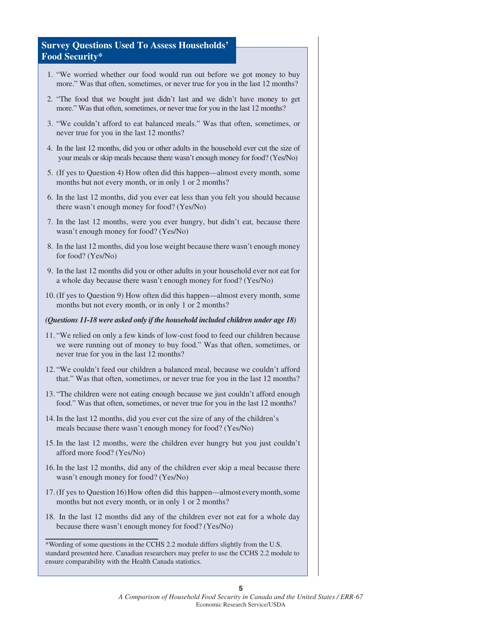#### **Survey Questions Used To Assess Households' Food Security\***

- 1. "We worried whether our food would run out before we got money to buy more." Was that often, sometimes, or never true for you in the last 12 months?
- 2. "The food that we bought just didn't last and we didn't have money to get more." Was that often, sometimes, or never true for you in the last 12 months?
- 3. "We couldn't afford to eat balanced meals." Was that often, sometimes, or never true for you in the last 12 months?
- 4. In the last 12 months, did you or other adults in the household ever cut the size of your meals or skip meals because there wasn't enough money for food? (Yes/No)
- 5. (If yes to Question 4) How often did this happen—almost every month, some months but not every month, or in only 1 or 2 months?
- 6. In the last 12 months, did you ever eat less than you felt you should because there wasn't enough money for food? (Yes/No)
- 7. In the last 12 months, were you ever hungry, but didn't eat, because there wasn't enough money for food? (Yes/No)
- 8. In the last 12 months, did you lose weight because there wasn't enough money for food? (Yes/No)
- 9. In the last 12 months did you or other adults in your household ever not eat for a whole day because there wasn't enough money for food? (Yes/No)
- 10. (If yes to Question 9) How often did this happen—almost every month, some months but not every month, or in only 1 or 2 months?

#### *(Questions 11-18 were asked only if the household included children under age 18)*

- 11. "We relied on only a few kinds of low-cost food to feed our children because we were running out of money to buy food." Was that often, sometimes, or never true for you in the last 12 months?
- 12. "We couldn't feed our children a balanced meal, because we couldn't afford that." Was that often, sometimes, or never true for you in the last 12 months?
- 13. "The children were not eating enough because we just couldn't afford enough food." Was that often, sometimes, or never true for you in the last 12 months?
- 14. In the last 12 months, did you ever cut the size of any of the children's meals because there wasn't enough money for food? (Yes/No)
- 15. In the last 12 months, were the children ever hungry but you just couldn't afford more food? (Yes/No)
- 16. In the last 12 months, did any of the children ever skip a meal because there wasn't enough money for food? (Yes/No)
- 17. (If yes to Question 16) How often did this happen—almost every month, some months but not every month, or in only 1 or 2 months?
- 18. In the last 12 months did any of the children ever not eat for a whole day because there wasn't enough money for food? (Yes/No)

<sup>\*</sup>Wording of some questions in the CCHS 2.2 module differs slightly from the U.S. standard presented here. Canadian researchers may prefer to use the CCHS 2.2 module to ensure comparability with the Health Canada statistics.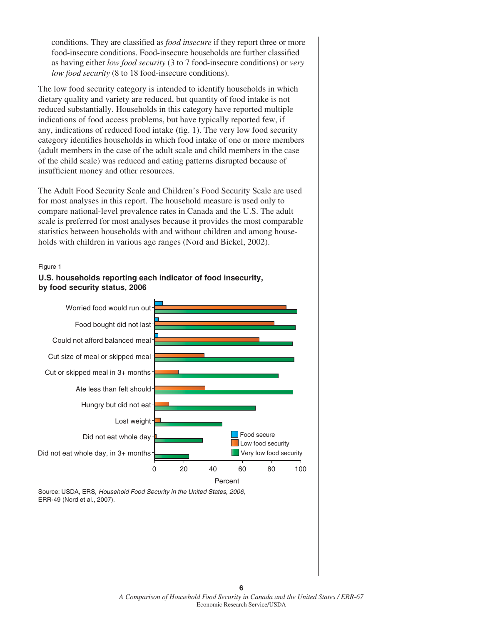conditions. They are classified as *food insecure* if they report three or more food-insecure conditions. Food-insecure households are further classified as having either *low food security* (3 to 7 food-insecure conditions) or *very low food security* (8 to 18 food-insecure conditions).

The low food security category is intended to identify households in which dietary quality and variety are reduced, but quantity of food intake is not reduced substantially. Households in this category have reported multiple indications of food access problems, but have typically reported few, if any, indications of reduced food intake (fig. 1). The very low food security category identifies households in which food intake of one or more members (adult members in the case of the adult scale and child members in the case of the child scale) was reduced and eating patterns disrupted because of insufficient money and other resources.

The Adult Food Security Scale and Children's Food Security Scale are used for most analyses in this report. The household measure is used only to compare national-level prevalence rates in Canada and the U.S. The adult scale is preferred for most analyses because it provides the most comparable statistics between households with and without children and among households with children in various age ranges (Nord and Bickel, 2002).

#### Figure 1





Source: USDA, ERS, *Household Food Security in the United States, 2006*, ERR-49 (Nord et al., 2007).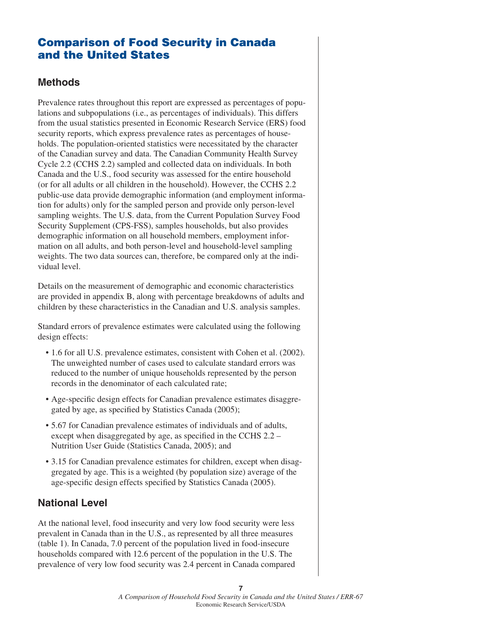# **Comparison of Food Security in Canada and the United States**

## **Methods**

Prevalence rates throughout this report are expressed as percentages of populations and subpopulations (i.e., as percentages of individuals). This differs from the usual statistics presented in Economic Research Service (ERS) food security reports, which express prevalence rates as percentages of households. The population-oriented statistics were necessitated by the character of the Canadian survey and data. The Canadian Community Health Survey Cycle 2.2 (CCHS 2.2) sampled and collected data on individuals. In both Canada and the U.S., food security was assessed for the entire household (or for all adults or all children in the household). However, the CCHS 2.2 public-use data provide demographic information (and employment information for adults) only for the sampled person and provide only person-level sampling weights. The U.S. data, from the Current Population Survey Food Security Supplement (CPS-FSS), samples households, but also provides demographic information on all household members, employment information on all adults, and both person-level and household-level sampling weights. The two data sources can, therefore, be compared only at the individual level.

Details on the measurement of demographic and economic characteristics are provided in appendix B, along with percentage breakdowns of adults and children by these characteristics in the Canadian and U.S. analysis samples.

Standard errors of prevalence estimates were calculated using the following design effects:

- 1.6 for all U.S. prevalence estimates, consistent with Cohen et al. (2002). The unweighted number of cases used to calculate standard errors was reduced to the number of unique households represented by the person records in the denominator of each calculated rate;
- Age-specific design effects for Canadian prevalence estimates disaggregated by age, as specified by Statistics Canada (2005);
- 5.67 for Canadian prevalence estimates of individuals and of adults, except when disaggregated by age, as specified in the CCHS  $2.2 -$ Nutrition User Guide (Statistics Canada, 2005); and
- 3.15 for Canadian prevalence estimates for children, except when disaggregated by age. This is a weighted (by population size) average of the age-specific design effects specified by Statistics Canada (2005).

# **National Level**

At the national level, food insecurity and very low food security were less prevalent in Canada than in the U.S., as represented by all three measures (table 1). In Canada, 7.0 percent of the population lived in food-insecure households compared with 12.6 percent of the population in the U.S. The prevalence of very low food security was 2.4 percent in Canada compared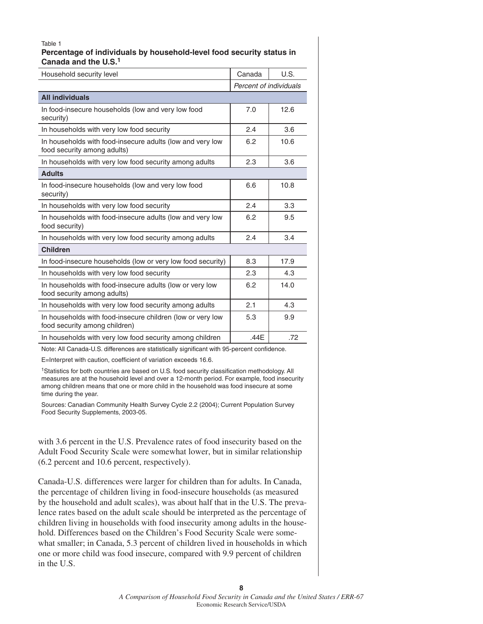#### Table 1 **Percentage of individuals by household-level food security status in Canada and the U.S.1**

| Household security level                                                                    | Canada                 | U.S. |
|---------------------------------------------------------------------------------------------|------------------------|------|
|                                                                                             | Percent of individuals |      |
| <b>All individuals</b>                                                                      |                        |      |
| In food-insecure households (low and very low food<br>security)                             | 7.0                    | 12.6 |
| In households with very low food security                                                   | 2.4                    | 3.6  |
| In households with food-insecure adults (low and very low<br>food security among adults)    | 6.2                    | 10.6 |
| In households with very low food security among adults                                      | 2.3                    | 3.6  |
| <b>Adults</b>                                                                               |                        |      |
| In food-insecure households (low and very low food<br>security)                             | 6.6                    | 10.8 |
| In households with very low food security                                                   | 2.4                    | 3.3  |
| In households with food-insecure adults (low and very low<br>food security)                 | 6.2                    | 9.5  |
| In households with very low food security among adults                                      | 2.4                    | 3.4  |
| <b>Children</b>                                                                             |                        |      |
| In food-insecure households (low or very low food security)                                 | 8.3                    | 17.9 |
| In households with very low food security                                                   | 2.3                    | 4.3  |
| In households with food-insecure adults (low or very low<br>food security among adults)     | 6.2                    | 14.0 |
| In households with very low food security among adults                                      | 2.1                    | 4.3  |
| In households with food-insecure children (low or very low<br>food security among children) | 5.3                    | 9.9  |
| In households with very low food security among children                                    | .44E                   | .72  |

Note: All Canada-U.S. differences are statistically significant with 95-percent confidence.

E=Interpret with caution, coefficient of variation exceeds 16.6.

<sup>1</sup>Statistics for both countries are based on U.S. food security classification methodology. All measures are at the household level and over a 12-month period. For example, food insecurity among children means that one or more child in the household was food insecure at some time during the year.

Sources: Canadian Community Health Survey Cycle 2.2 (2004); Current Population Survey Food Security Supplements, 2003-05.

with 3.6 percent in the U.S. Prevalence rates of food insecurity based on the Adult Food Security Scale were somewhat lower, but in similar relationship (6.2 percent and 10.6 percent, respectively).

Canada-U.S. differences were larger for children than for adults. In Canada, the percentage of children living in food-insecure households (as measured by the household and adult scales), was about half that in the U.S. The prevalence rates based on the adult scale should be interpreted as the percentage of children living in households with food insecurity among adults in the household. Differences based on the Children's Food Security Scale were somewhat smaller; in Canada, 5.3 percent of children lived in households in which one or more child was food insecure, compared with 9.9 percent of children in the U.S.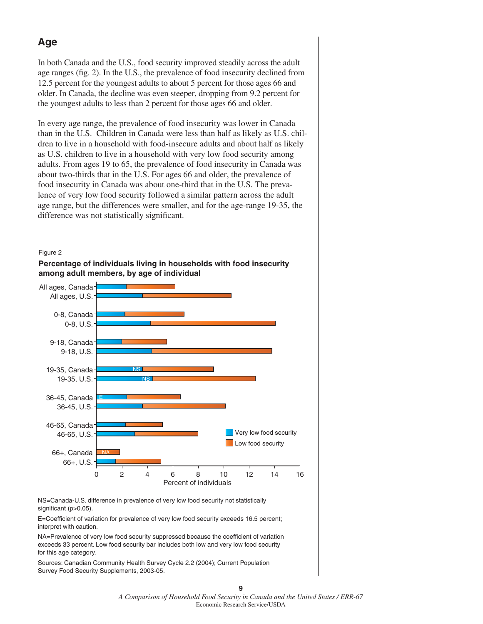# **Age**

In both Canada and the U.S., food security improved steadily across the adult age ranges (fig. 2). In the U.S., the prevalence of food insecurity declined from 12.5 percent for the youngest adults to about 5 percent for those ages 66 and older. In Canada, the decline was even steeper, dropping from 9.2 percent for the youngest adults to less than 2 percent for those ages 66 and older.

In every age range, the prevalence of food insecurity was lower in Canada than in the U.S. Children in Canada were less than half as likely as U.S. children to live in a household with food-insecure adults and about half as likely as U.S. children to live in a household with very low food security among adults. From ages 19 to 65, the prevalence of food insecurity in Canada was about two-thirds that in the U.S. For ages 66 and older, the prevalence of food insecurity in Canada was about one-third that in the U.S. The prevalence of very low food security followed a similar pattern across the adult age range, but the differences were smaller, and for the age-range 19-35, the difference was not statistically significant.







NS=Canada-U.S. difference in prevalence of very low food security not statistically significant (p>0.05).

E=Coefficient of variation for prevalence of very low food security exceeds 16.5 percent; interpret with caution.

NA=Prevalence of very low food security suppressed because the coefficient of variation exceeds 33 percent. Low food security bar includes both low and very low food security for this age category.

Sources: Canadian Community Health Survey Cycle 2.2 (2004); Current Population Survey Food Security Supplements, 2003-05.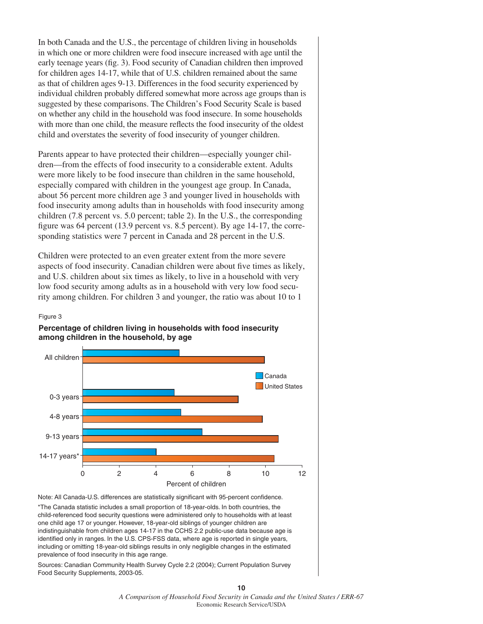In both Canada and the U.S., the percentage of children living in households in which one or more children were food insecure increased with age until the early teenage years (fig. 3). Food security of Canadian children then improved for children ages 14-17, while that of U.S. children remained about the same as that of children ages 9-13. Differences in the food security experienced by individual children probably differed somewhat more across age groups than is suggested by these comparisons. The Children's Food Security Scale is based on whether any child in the household was food insecure. In some households with more than one child, the measure reflects the food insecurity of the oldest child and overstates the severity of food insecurity of younger children.

Parents appear to have protected their children—especially younger children—from the effects of food insecurity to a considerable extent. Adults were more likely to be food insecure than children in the same household, especially compared with children in the youngest age group. In Canada, about 56 percent more children age 3 and younger lived in households with food insecurity among adults than in households with food insecurity among children (7.8 percent vs. 5.0 percent; table 2). In the U.S., the corresponding figure was 64 percent  $(13.9$  percent vs. 8.5 percent). By age 14-17, the corresponding statistics were 7 percent in Canada and 28 percent in the U.S.

Children were protected to an even greater extent from the more severe aspects of food insecurity. Canadian children were about five times as likely, and U.S. children about six times as likely, to live in a household with very low food security among adults as in a household with very low food security among children. For children 3 and younger, the ratio was about 10 to 1

#### Figure 3

#### **Percentage of children living in households with food insecurity among children in the household, by age**



Note: All Canada-U.S. differences are statistically significant with 95-percent confidence.

\*The Canada statistic includes a small proportion of 18-year-olds. In both countries, the child-referenced food security questions were administered only to households with at least one child age 17 or younger. However, 18-year-old siblings of younger children are indistinguishable from children ages 14-17 in the CCHS 2.2 public-use data because age is identified only in ranges. In the U.S. CPS-FSS data, where age is reported in single years, including or omitting 18-year-old siblings results in only negligible changes in the estimated prevalence of food insecurity in this age range.

Sources: Canadian Community Health Survey Cycle 2.2 (2004); Current Population Survey Food Security Supplements, 2003-05.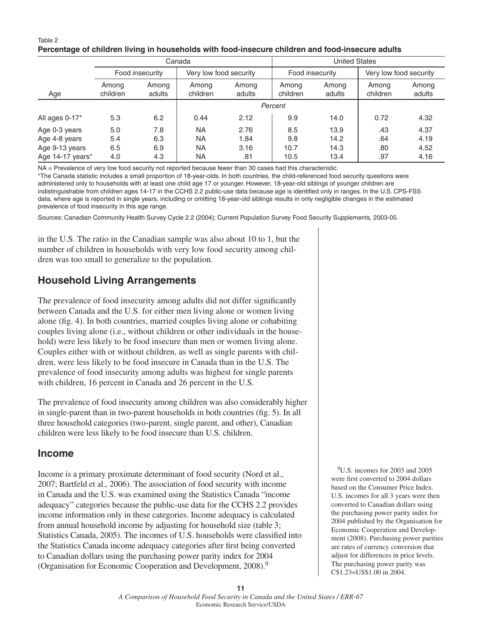#### Table 2 **Percentage of children living in households with food-insecure children and food-insecure adults**

| Canada           |                   |                 |                        | <b>United States</b> |                   |                 |                        |                 |
|------------------|-------------------|-----------------|------------------------|----------------------|-------------------|-----------------|------------------------|-----------------|
|                  |                   | Food insecurity | Very low food security |                      | Food insecurity   |                 | Very low food security |                 |
| Age              | Among<br>children | Among<br>adults | Among<br>children      | Among<br>adults      | Among<br>children | Among<br>adults | Among<br>children      | Among<br>adults |
|                  |                   |                 |                        | Percent              |                   |                 |                        |                 |
| All ages 0-17*   | 5.3               | 6.2             | 0.44                   | 2.12                 | 9.9               | 14.0            | 0.72                   | 4.32            |
| Age 0-3 years    | 5.0               | 7.8             | <b>NA</b>              | 2.76                 | 8.5               | 13.9            | .43                    | 4.37            |
| Age 4-8 years    | 5.4               | 6.3             | <b>NA</b>              | 1.84                 | 9.8               | 14.2            | .64                    | 4.19            |
| Age 9-13 years   | 6.5               | 6.9             | <b>NA</b>              | 3.16                 | 10.7              | 14.3            | .80                    | 4.52            |
| Age 14-17 years* | 4.0               | 4.3             | <b>NA</b>              | .81                  | 10.5              | 13.4            | .97                    | 4.16            |

NA = Prevalence of very low food security not reported because fewer than 30 cases had this characteristic.

\*The Canada statistic includes a small proportion of 18-year-olds. In both countries, the child-referenced food security questions were administered only to households with at least one child age 17 or younger. However, 18-year-old siblings of younger children are indistinguishable from children ages 14-17 in the CCHS 2.2 public-use data because age is identified only in ranges. In the U.S. CPS-FSS data, where age is reported in single years, including or omitting 18-year-old siblings results in only negligible changes in the estimated prevalence of food insecurity in this age range.

Sources: Canadian Community Health Survey Cycle 2.2 (2004); Current Population Survey Food Security Supplements, 2003-05.

in the U.S. The ratio in the Canadian sample was also about 10 to 1, but the number of children in households with very low food security among children was too small to generalize to the population.

# **Household Living Arrangements**

The prevalence of food insecurity among adults did not differ significantly between Canada and the U.S. for either men living alone or women living alone (fig. 4). In both countries, married couples living alone or cohabiting couples living alone (i.e., without children or other individuals in the household) were less likely to be food insecure than men or women living alone. Couples either with or without children, as well as single parents with children, were less likely to be food insecure in Canada than in the U.S. The prevalence of food insecurity among adults was highest for single parents with children, 16 percent in Canada and 26 percent in the U.S.

The prevalence of food insecurity among children was also considerably higher in single-parent than in two-parent households in both countries (fig. 5). In all three household categories (two-parent, single parent, and other), Canadian children were less likely to be food insecure than U.S. children.

# **Income**

Income is a primary proximate determinant of food security (Nord et al., 2007; Bartfeld et al., 2006). The association of food security with income in Canada and the U.S. was examined using the Statistics Canada "income adequacy" categories because the public-use data for the CCHS 2.2 provides income information only in these categories. Income adequacy is calculated from annual household income by adjusting for household size (table 3; Statistics Canada, 2005). The incomes of U.S. households were classified into the Statistics Canada income adequacy categories after first being converted to Canadian dollars using the purchasing power parity index for 2004 (Organisation for Economic Cooperation and Development, 2008).9

9U.S. incomes for 2003 and 2005 were first converted to 2004 dollars based on the Consumer Price Index. U.S. incomes for all 3 years were then converted to Canadian dollars using the purchasing power parity index for 2004 published by the Organisation for Economic Cooperation and Development (2008). Purchasing power parities are rates of currency conversion that adjust for differences in price levels. The purchasing power parity was C\$1.23=US\$1.00 in 2004.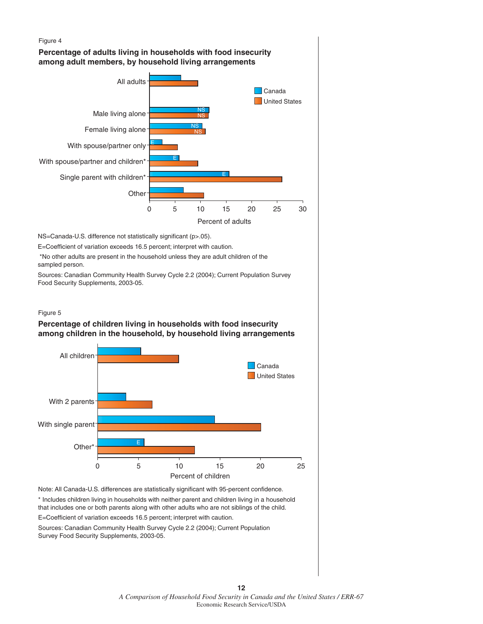

Sources: Canadian Community Health Survey Cycle 2.2 (2004); Current Population Survey Food Security Supplements, 2003-05.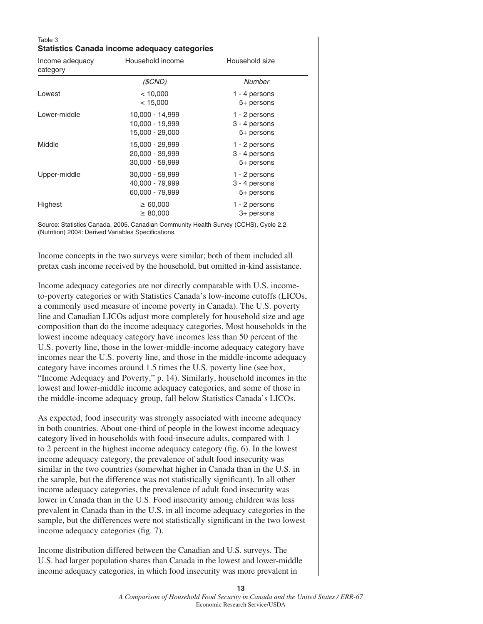| Table 3<br><b>Statistics Canada income adequacy categories</b> |                                                       |                                              |  |  |  |  |
|----------------------------------------------------------------|-------------------------------------------------------|----------------------------------------------|--|--|--|--|
| Income adequacy<br>category                                    | Household income                                      | Household size                               |  |  |  |  |
|                                                                | (SCND)                                                | <b>Number</b>                                |  |  |  |  |
| Lowest                                                         | < 10,000<br>< 15,000                                  | 1 - 4 persons<br>5+ persons                  |  |  |  |  |
| Lower-middle                                                   | 10,000 - 14,999<br>10,000 - 19,999<br>15,000 - 29,000 | 1 - 2 persons<br>3 - 4 persons<br>5+ persons |  |  |  |  |
| Middle                                                         | 15,000 - 29,999<br>20,000 - 39,999<br>30,000 - 59,999 | 1 - 2 persons<br>3 - 4 persons<br>5+ persons |  |  |  |  |
| Upper-middle                                                   | 30,000 - 59,999<br>40,000 - 79,999<br>60,000 - 79,999 | 1 - 2 persons<br>3 - 4 persons<br>5+ persons |  |  |  |  |
| Highest                                                        | $\geq 60,000$<br>$\geq 80,000$                        | 1 - 2 persons<br>3+ persons                  |  |  |  |  |

Source: Statistics Canada, 2005. Canadian Community Health Survey (CCHS), Cycle 2.2 (Nutrition) 2004: Derived Variables Specifications.

Income concepts in the two surveys were similar; both of them included all pretax cash income received by the household, but omitted in-kind assistance.

Income adequacy categories are not directly comparable with U.S. incometo-poverty categories or with Statistics Canada's low-income cutoffs (LICOs, a commonly used measure of income poverty in Canada). The U.S. poverty line and Canadian LICOs adjust more completely for household size and age composition than do the income adequacy categories. Most households in the lowest income adequacy category have incomes less than 50 percent of the U.S. poverty line, those in the lower-middle-income adequacy category have incomes near the U.S. poverty line, and those in the middle-income adequacy category have incomes around 1.5 times the U.S. poverty line (see box, "Income Adequacy and Poverty," p. 14). Similarly, household incomes in the lowest and lower-middle income adequacy categories, and some of those in the middle-income adequacy group, fall below Statistics Canada's LICOs.

As expected, food insecurity was strongly associated with income adequacy in both countries. About one-third of people in the lowest income adequacy category lived in households with food-insecure adults, compared with 1 to 2 percent in the highest income adequacy category (fig.  $6$ ). In the lowest income adequacy category, the prevalence of adult food insecurity was similar in the two countries (somewhat higher in Canada than in the U.S. in the sample, but the difference was not statistically significant). In all other income adequacy categories, the prevalence of adult food insecurity was lower in Canada than in the U.S. Food insecurity among children was less prevalent in Canada than in the U.S. in all income adequacy categories in the sample, but the differences were not statistically significant in the two lowest income adequacy categories (fig. 7).

Income distribution differed between the Canadian and U.S. surveys. The U.S. had larger population shares than Canada in the lowest and lower-middle income adequacy categories, in which food insecurity was more prevalent in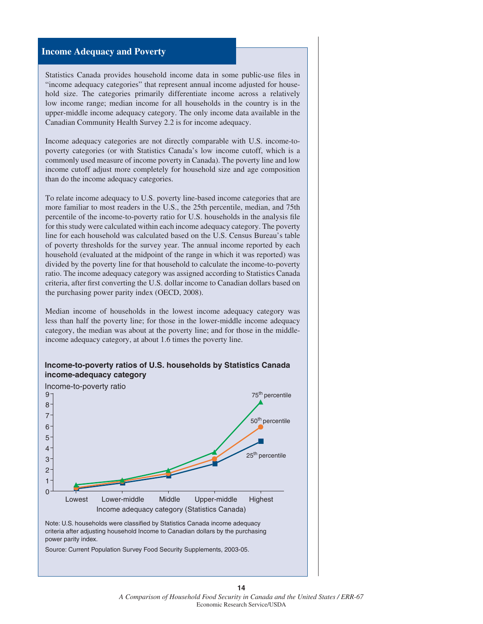#### **Income Adequacy and Poverty**

Statistics Canada provides household income data in some public-use files in "income adequacy categories" that represent annual income adjusted for household size. The categories primarily differentiate income across a relatively low income range; median income for all households in the country is in the upper-middle income adequacy category. The only income data available in the Canadian Community Health Survey 2.2 is for income adequacy.

Income adequacy categories are not directly comparable with U.S. income-topoverty categories (or with Statistics Canada's low income cutoff, which is a commonly used measure of income poverty in Canada). The poverty line and low income cutoff adjust more completely for household size and age composition than do the income adequacy categories.

To relate income adequacy to U.S. poverty line-based income categories that are more familiar to most readers in the U.S., the 25th percentile, median, and 75th percentile of the income-to-poverty ratio for U.S. households in the analysis file for this study were calculated within each income adequacy category. The poverty line for each household was calculated based on the U.S. Census Bureau's table of poverty thresholds for the survey year. The annual income reported by each household (evaluated at the midpoint of the range in which it was reported) was divided by the poverty line for that household to calculate the income-to-poverty ratio. The income adequacy category was assigned according to Statistics Canada criteria, after first converting the U.S. dollar income to Canadian dollars based on the purchasing power parity index (OECD, 2008).

Median income of households in the lowest income adequacy category was less than half the poverty line; for those in the lower-middle income adequacy category, the median was about at the poverty line; and for those in the middleincome adequacy category, at about 1.6 times the poverty line.





Source: Current Population Survey Food Security Supplements, 2003-05.

*A Comparison of Household Food Security in Canada and the United States / ERR-67* Economic Research Service/USDA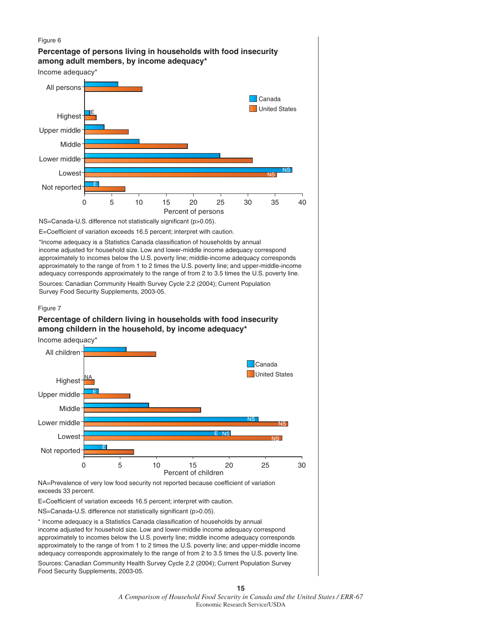

\* Income adequacy is a Statistics Canada classification of households by annual income adjusted for household size. Low and lower-middle income adequacy correspond approximately to incomes below the U.S. poverty line; middle income adequacy corresponds approximately to the range of from 1 to 2 times the U.S. poverty line; and upper-middle income adequacy corresponds approximately to the range of from 2 to 3.5 times the U.S. poverty line.

Sources: Canadian Community Health Survey Cycle 2.2 (2004); Current Population Survey Food Security Supplements, 2003-05.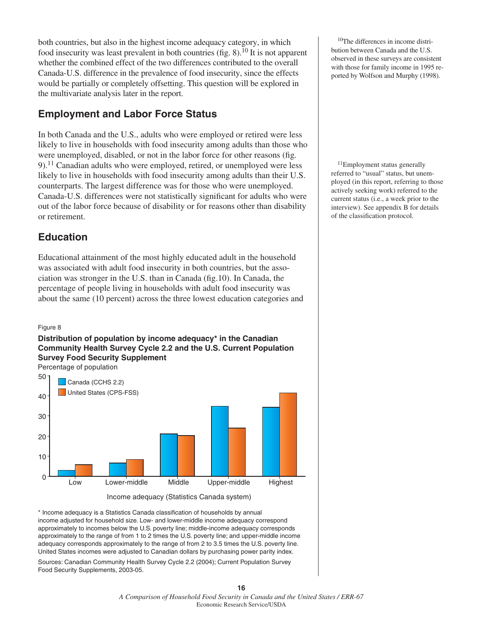both countries, but also in the highest income adequacy category, in which food insecurity was least prevalent in both countries (fig.  $8$ ).<sup>10</sup> It is not apparent whether the combined effect of the two differences contributed to the overall Canada-U.S. difference in the prevalence of food insecurity, since the effects would be partially or completely offsetting. This question will be explored in the multivariate analysis later in the report.

# **Employment and Labor Force Status**

In both Canada and the U.S., adults who were employed or retired were less likely to live in households with food insecurity among adults than those who were unemployed, disabled, or not in the labor force for other reasons (fig.  $9$ ).<sup>11</sup> Canadian adults who were employed, retired, or unemployed were less likely to live in households with food insecurity among adults than their U.S. counterparts. The largest difference was for those who were unemployed. Canada-U.S. differences were not statistically significant for adults who were out of the labor force because of disability or for reasons other than disability or retirement.

# **Education**

Educational attainment of the most highly educated adult in the household was associated with adult food insecurity in both countries, but the association was stronger in the U.S. than in Canada  $(f_1 g_1 10)$ . In Canada, the percentage of people living in households with adult food insecurity was about the same (10 percent) across the three lowest education categories and

#### Figure 8

#### **Distribution of population by income adequacy\* in the Canadian Community Health Survey Cycle 2.2 and the U.S. Current Population Survey Food Security Supplement**

Percentage of population



Income adequacy (Statistics Canada system)

\* Income adequacy is a Statistics Canada classification of households by annual income adjusted for household size. Low- and lower-middle income adequacy correspond approximately to incomes below the U.S. poverty line; middle-income adequacy corresponds approximately to the range of from 1 to 2 times the U.S. poverty line; and upper-middle income adequacy corresponds approximately to the range of from 2 to 3.5 times the U.S. poverty line. United States incomes were adjusted to Canadian dollars by purchasing power parity index. Sources: Canadian Community Health Survey Cycle 2.2 (2004); Current Population Survey Food Security Supplements, 2003-05.

 10The differences in income distribution between Canada and the U.S. observed in these surveys are consistent with those for family income in 1995 reported by Wolfson and Murphy (1998).

 11Employment status generally referred to "usual" status, but unemployed (in this report, referring to those actively seeking work) referred to the current status (i.e., a week prior to the interview). See appendix B for details of the classification protocol.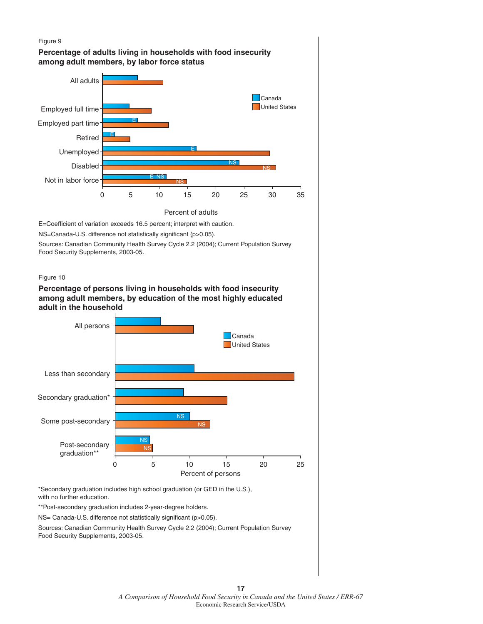

**17** *A Comparison of Household Food Security in Canada and the United States / ERR-67* Economic Research Service/USDA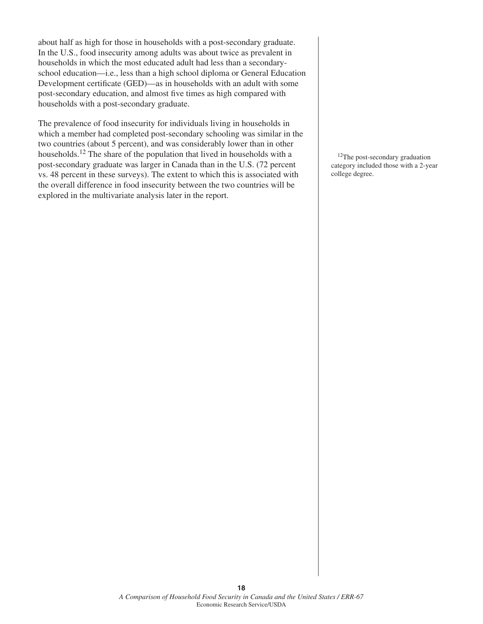about half as high for those in households with a post-secondary graduate. In the U.S., food insecurity among adults was about twice as prevalent in households in which the most educated adult had less than a secondaryschool education—i.e., less than a high school diploma or General Education Development certificate (GED)—as in households with an adult with some post-secondary education, and almost five times as high compared with households with a post-secondary graduate.

The prevalence of food insecurity for individuals living in households in which a member had completed post-secondary schooling was similar in the two countries (about 5 percent), and was considerably lower than in other households.12 The share of the population that lived in households with a post-secondary graduate was larger in Canada than in the U.S. (72 percent vs. 48 percent in these surveys). The extent to which this is associated with the overall difference in food insecurity between the two countries will be explored in the multivariate analysis later in the report.

<sup>12</sup>The post-secondary graduation category included those with a 2-year college degree.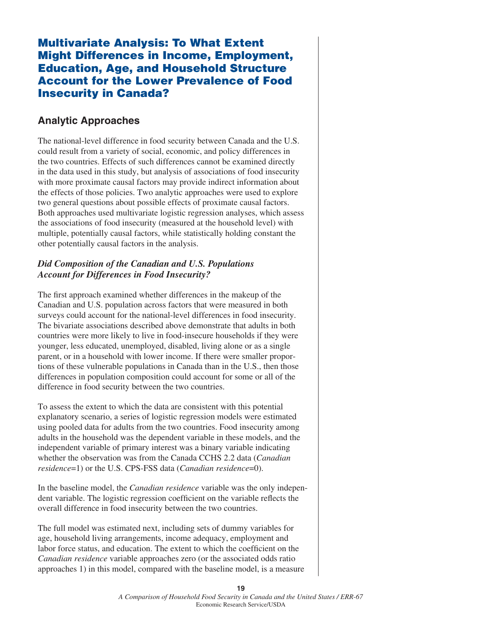# **Multivariate Analysis: To What Extent Might Differences in Income, Employment, Education, Age, and Household Structure Account for the Lower Prevalence of Food Insecurity in Canada?**

### **Analytic Approaches**

The national-level difference in food security between Canada and the U.S. could result from a variety of social, economic, and policy differences in the two countries. Effects of such differences cannot be examined directly in the data used in this study, but analysis of associations of food insecurity with more proximate causal factors may provide indirect information about the effects of those policies. Two analytic approaches were used to explore two general questions about possible effects of proximate causal factors. Both approaches used multivariate logistic regression analyses, which assess the associations of food insecurity (measured at the household level) with multiple, potentially causal factors, while statistically holding constant the other potentially causal factors in the analysis.

#### *Did Composition of the Canadian and U.S. Populations Account for Differences in Food Insecurity?*

The first approach examined whether differences in the makeup of the Canadian and U.S. population across factors that were measured in both surveys could account for the national-level differences in food insecurity. The bivariate associations described above demonstrate that adults in both countries were more likely to live in food-insecure households if they were younger, less educated, unemployed, disabled, living alone or as a single parent, or in a household with lower income. If there were smaller proportions of these vulnerable populations in Canada than in the U.S., then those differences in population composition could account for some or all of the difference in food security between the two countries.

To assess the extent to which the data are consistent with this potential explanatory scenario, a series of logistic regression models were estimated using pooled data for adults from the two countries. Food insecurity among adults in the household was the dependent variable in these models, and the independent variable of primary interest was a binary variable indicating whether the observation was from the Canada CCHS 2.2 data (*Canadian residence*=1) or the U.S. CPS-FSS data (*Canadian residence*=0).

In the baseline model, the *Canadian residence* variable was the only independent variable. The logistic regression coefficient on the variable reflects the overall difference in food insecurity between the two countries.

The full model was estimated next, including sets of dummy variables for age, household living arrangements, income adequacy, employment and labor force status, and education. The extent to which the coefficient on the *Canadian residence* variable approaches zero (or the associated odds ratio approaches 1) in this model, compared with the baseline model, is a measure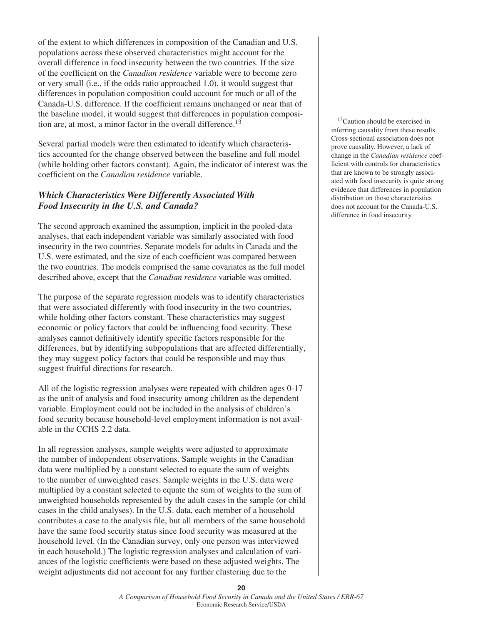of the extent to which differences in composition of the Canadian and U.S. populations across these observed characteristics might account for the overall difference in food insecurity between the two countries. If the size of the coefficient on the *Canadian residence* variable were to become zero or very small (i.e., if the odds ratio approached 1.0), it would suggest that differences in population composition could account for much or all of the Canada-U.S. difference. If the coefficient remains unchanged or near that of the baseline model, it would suggest that differences in population composition are, at most, a minor factor in the overall difference.<sup>13</sup>

Several partial models were then estimated to identify which characteristics accounted for the change observed between the baseline and full model (while holding other factors constant). Again, the indicator of interest was the coefficient on the *Canadian residence* variable.

#### *Which Characteristics Were Differently Associated With Food Insecurity in the U.S. and Canada?*

The second approach examined the assumption, implicit in the pooled-data analyses, that each independent variable was similarly associated with food insecurity in the two countries. Separate models for adults in Canada and the U.S. were estimated, and the size of each coefficient was compared between the two countries. The models comprised the same covariates as the full model described above, except that the *Canadian residence* variable was omitted.

The purpose of the separate regression models was to identify characteristics that were associated differently with food insecurity in the two countries, while holding other factors constant. These characteristics may suggest economic or policy factors that could be influencing food security. These analyses cannot definitively identify specific factors responsible for the differences, but by identifying subpopulations that are affected differentially, they may suggest policy factors that could be responsible and may thus suggest fruitful directions for research.

All of the logistic regression analyses were repeated with children ages 0-17 as the unit of analysis and food insecurity among children as the dependent variable. Employment could not be included in the analysis of children's food security because household-level employment information is not available in the CCHS 2.2 data.

In all regression analyses, sample weights were adjusted to approximate the number of independent observations. Sample weights in the Canadian data were multiplied by a constant selected to equate the sum of weights to the number of unweighted cases. Sample weights in the U.S. data were multiplied by a constant selected to equate the sum of weights to the sum of unweighted households represented by the adult cases in the sample (or child cases in the child analyses). In the U.S. data, each member of a household contributes a case to the analysis file, but all members of the same household have the same food security status since food security was measured at the household level. (In the Canadian survey, only one person was interviewed in each household.) The logistic regression analyses and calculation of variances of the logistic coefficients were based on these adjusted weights. The weight adjustments did not account for any further clustering due to the

<sup>13</sup>Caution should be exercised in inferring causality from these results. Cross-sectional association does not prove causality. However, a lack of change in the *Canadian residence* coefficient with controls for characteristics that are known to be strongly associated with food insecurity is quite strong evidence that differences in population distribution on those characteristics does not account for the Canada-U.S. difference in food insecurity.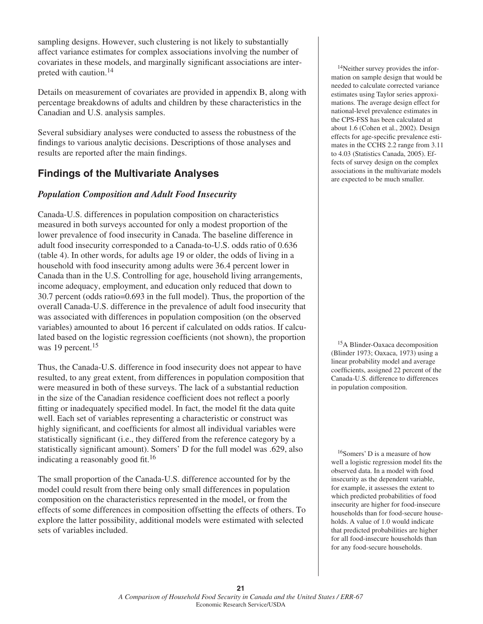sampling designs. However, such clustering is not likely to substantially affect variance estimates for complex associations involving the number of covariates in these models, and marginally significant associations are interpreted with caution.14

Details on measurement of covariates are provided in appendix B, along with percentage breakdowns of adults and children by these characteristics in the Canadian and U.S. analysis samples.

Several subsidiary analyses were conducted to assess the robustness of the findings to various analytic decisions. Descriptions of those analyses and results are reported after the main findings.

# **Findings of the Multivariate Analyses**

#### *Population Composition and Adult Food Insecurity*

Canada-U.S. differences in population composition on characteristics measured in both surveys accounted for only a modest proportion of the lower prevalence of food insecurity in Canada. The baseline difference in adult food insecurity corresponded to a Canada-to-U.S. odds ratio of 0.636 (table 4). In other words, for adults age 19 or older, the odds of living in a household with food insecurity among adults were 36.4 percent lower in Canada than in the U.S. Controlling for age, household living arrangements, income adequacy, employment, and education only reduced that down to 30.7 percent (odds ratio=0.693 in the full model). Thus, the proportion of the overall Canada-U.S. difference in the prevalence of adult food insecurity that was associated with differences in population composition (on the observed variables) amounted to about 16 percent if calculated on odds ratios. If calculated based on the logistic regression coefficients (not shown), the proportion was 19 percent.<sup>15</sup>

Thus, the Canada-U.S. difference in food insecurity does not appear to have resulted, to any great extent, from differences in population composition that were measured in both of these surveys. The lack of a substantial reduction in the size of the Canadian residence coefficient does not reflect a poorly fitting or inadequately specified model. In fact, the model fit the data quite well. Each set of variables representing a characteristic or construct was highly significant, and coefficients for almost all individual variables were statistically significant (i.e., they differed from the reference category by a statistically significant amount). Somers' D for the full model was .629, also indicating a reasonably good fit.<sup>16</sup>

The small proportion of the Canada-U.S. difference accounted for by the model could result from there being only small differences in population composition on the characteristics represented in the model, or from the effects of some differences in composition offsetting the effects of others. To explore the latter possibility, additional models were estimated with selected sets of variables included.

 14Neither survey provides the information on sample design that would be needed to calculate corrected variance estimates using Taylor series approximations. The average design effect for national-level prevalence estimates in the CPS-FSS has been calculated at about 1.6 (Cohen et al., 2002). Design effects for age-specific prevalence estimates in the CCHS 2.2 range from 3.11 to 4.03 (Statistics Canada, 2005). Effects of survey design on the complex associations in the multivariate models are expected to be much smaller.

 15A Blinder-Oaxaca decomposition (Blinder 1973; Oaxaca, 1973) using a linear probability model and average coefficients, assigned 22 percent of the Canada-U.S. difference to differences in population composition.

 16Somers' D is a measure of how well a logistic regression model fits the observed data. In a model with food insecurity as the dependent variable, for example, it assesses the extent to which predicted probabilities of food insecurity are higher for food-insecure households than for food-secure households. A value of 1.0 would indicate that predicted probabilities are higher for all food-insecure households than for any food-secure households.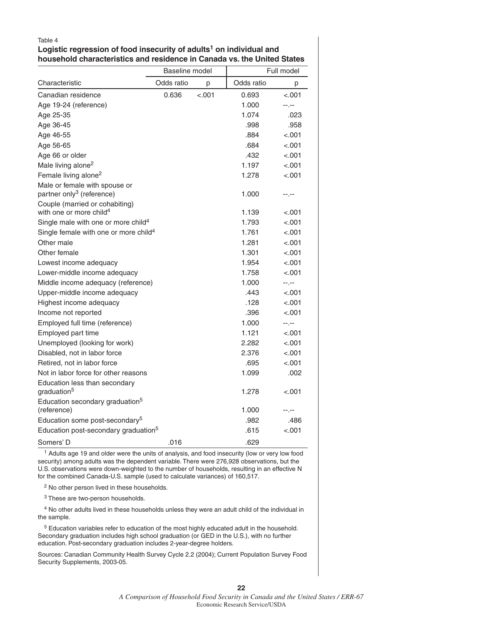#### Logistic regression of food insecurity of adults<sup>1</sup> on individual and **household characteristics and residence in Canada vs. the United States**

|                                                            | Baseline model |         |            | Full model |
|------------------------------------------------------------|----------------|---------|------------|------------|
| Characteristic                                             | Odds ratio     | р       | Odds ratio | р          |
| Canadian residence                                         | 0.636          | $-.001$ | 0.693      | $-.001$    |
| Age 19-24 (reference)                                      |                |         | 1.000      | --.--      |
| Age 25-35                                                  |                |         | 1.074      | .023       |
| Age 36-45                                                  |                |         | .998       | .958       |
| Age 46-55                                                  |                |         | .884       | $-.001$    |
| Age 56-65                                                  |                |         | .684       | $-.001$    |
| Age 66 or older                                            |                |         | .432       | $-.001$    |
| Male living alone <sup>2</sup>                             |                |         | 1.197      | < .001     |
| Female living alone <sup>2</sup>                           |                |         | 1.278      | < .001     |
| Male or female with spouse or                              |                |         |            |            |
| partner only <sup>3</sup> (reference)                      |                |         | 1.000      | --.--      |
| Couple (married or cohabiting)                             |                |         |            |            |
| with one or more child <sup>4</sup>                        |                |         | 1.139      | $-.001$    |
| Single male with one or more child <sup>4</sup>            |                |         | 1.793      | $-.001$    |
| Single female with one or more child <sup>4</sup>          |                |         | 1.761      | $-.001$    |
| Other male                                                 |                |         | 1.281      | $-.001$    |
| Other female                                               |                |         | 1.301      | $-.001$    |
| Lowest income adequacy                                     |                |         | 1.954      | < .001     |
| Lower-middle income adequacy                               |                |         | 1.758      | < .001     |
| Middle income adequacy (reference)                         |                |         | 1.000      | --.--      |
| Upper-middle income adequacy                               |                |         | .443       | $-.001$    |
| Highest income adequacy                                    |                |         | .128       | < .001     |
| Income not reported                                        |                |         | .396       | $-.001$    |
| Employed full time (reference)                             |                |         | 1.000      | --.--      |
| Employed part time                                         |                |         | 1.121      | < .001     |
| Unemployed (looking for work)                              |                |         | 2.282      | $-.001$    |
| Disabled, not in labor force                               |                |         | 2.376      | < .001     |
| Retired, not in labor force                                |                |         | .695       | < .001     |
| Not in labor force for other reasons                       |                |         | 1.099      | .002       |
| Education less than secondary<br>graduation <sup>5</sup>   |                |         | 1.278      | $-.001$    |
| Education secondary graduation <sup>5</sup><br>(reference) |                |         | 1.000      | --.--      |
| Education some post-secondary <sup>5</sup>                 |                |         | .982       | .486       |
| Education post-secondary graduation <sup>5</sup>           |                |         | .615       | $-.001$    |
| Somers' D                                                  | .016           |         | .629       |            |

<sup>1</sup> Adults age 19 and older were the units of analysis, and food insecurity (low or very low food security) among adults was the dependent variable. There were 276,928 observations, but the U.S. observations were down-weighted to the number of households, resulting in an effective N for the combined Canada-U.S. sample (used to calculate variances) of 160,517.

2 No other person lived in these households.

3 These are two-person households.

 4 No other adults lived in these households unless they were an adult child of the individual in the sample.

 5 Education variables refer to education of the most highly educated adult in the household. Secondary graduation includes high school graduation (or GED in the U.S.), with no further education. Post-secondary graduation includes 2-year-degree holders.

Sources: Canadian Community Health Survey Cycle 2.2 (2004); Current Population Survey Food Security Supplements, 2003-05.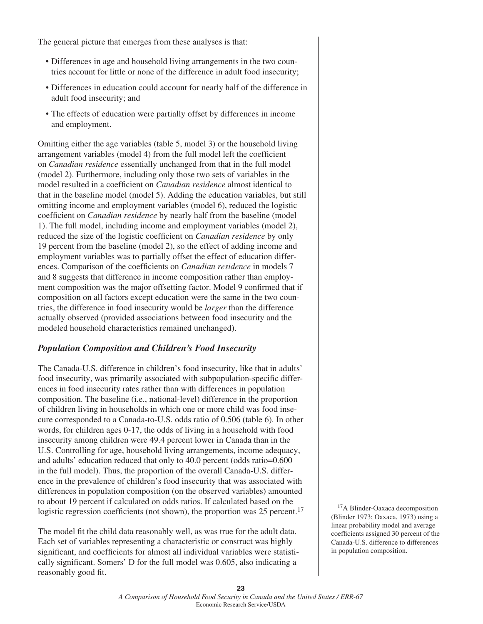The general picture that emerges from these analyses is that:

- Differences in age and household living arrangements in the two countries account for little or none of the difference in adult food insecurity;
- Differences in education could account for nearly half of the difference in adult food insecurity; and
- The effects of education were partially offset by differences in income and employment.

Omitting either the age variables (table 5, model 3) or the household living arrangement variables (model 4) from the full model left the coefficient on *Canadian residence* essentially unchanged from that in the full model (model 2). Furthermore, including only those two sets of variables in the model resulted in a coefficient on *Canadian residence* almost identical to that in the baseline model (model 5). Adding the education variables, but still omitting income and employment variables (model 6), reduced the logistic coefficient on *Canadian residence* by nearly half from the baseline (model 1). The full model, including income and employment variables (model 2), reduced the size of the logistic coefficient on *Canadian residence* by only 19 percent from the baseline (model 2), so the effect of adding income and employment variables was to partially offset the effect of education differences. Comparison of the coefficients on *Canadian residence* in models 7 and 8 suggests that difference in income composition rather than employment composition was the major offsetting factor. Model 9 confirmed that if composition on all factors except education were the same in the two countries, the difference in food insecurity would be *larger* than the difference actually observed (provided associations between food insecurity and the modeled household characteristics remained unchanged).

#### *Population Composition and Children's Food Insecurity*

The Canada-U.S. difference in children's food insecurity, like that in adults' food insecurity, was primarily associated with subpopulation-specific differences in food insecurity rates rather than with differences in population composition. The baseline (i.e., national-level) difference in the proportion of children living in households in which one or more child was food insecure corresponded to a Canada-to-U.S. odds ratio of 0.506 (table 6). In other words, for children ages 0-17, the odds of living in a household with food insecurity among children were 49.4 percent lower in Canada than in the U.S. Controlling for age, household living arrangements, income adequacy, and adults' education reduced that only to 40.0 percent (odds ratio=0.600 in the full model). Thus, the proportion of the overall Canada-U.S. difference in the prevalence of children's food insecurity that was associated with differences in population composition (on the observed variables) amounted to about 19 percent if calculated on odds ratios. If calculated based on the logistic regression coefficients (not shown), the proportion was  $25$  percent.<sup>17</sup>

The model fit the child data reasonably well, as was true for the adult data. Each set of variables representing a characteristic or construct was highly significant, and coefficients for almost all individual variables were statistically significant. Somers' D for the full model was 0.605, also indicating a reasonably good fit.

<sup>17</sup>A Blinder-Oaxaca decomposition (Blinder 1973; Oaxaca, 1973) using a linear probability model and average coefficients assigned 30 percent of the Canada-U.S. difference to differences in population composition.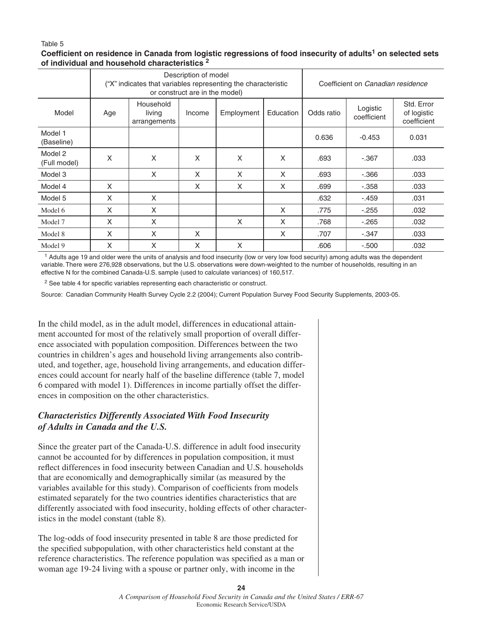#### Coefficient on residence in Canada from logistic regressions of food insecurity of adults<sup>1</sup> on selected sets **of individual and household characteristics 2**

|                         | Description of model<br>"X" indicates that variables representing the characteristic<br>or construct are in the model) |                                     |        |            |           | Coefficient on Canadian residence |                         |                                          |
|-------------------------|------------------------------------------------------------------------------------------------------------------------|-------------------------------------|--------|------------|-----------|-----------------------------------|-------------------------|------------------------------------------|
| Model                   | Age                                                                                                                    | Household<br>living<br>arrangements | Income | Employment | Education | Odds ratio                        | Logistic<br>coefficient | Std. Error<br>of logistic<br>coefficient |
| Model 1<br>(Baseline)   |                                                                                                                        |                                     |        |            |           | 0.636                             | $-0.453$                | 0.031                                    |
| Model 2<br>(Full model) | X                                                                                                                      | X                                   | X      | X          | X         | .693                              | $-.367$                 | .033                                     |
| Model 3                 |                                                                                                                        | X                                   | X      | X          | X         | .693                              | $-0.366$                | .033                                     |
| Model 4                 | X                                                                                                                      |                                     | X      | X          | X         | .699                              | $-.358$                 | .033                                     |
| Model 5                 | X                                                                                                                      | X                                   |        |            |           | .632                              | $-.459$                 | .031                                     |
| Model 6                 | X                                                                                                                      | X                                   |        |            | X         | .775                              | $-255$                  | .032                                     |
| Model 7                 | X                                                                                                                      | X                                   |        | X          | X         | .768                              | $-265$                  | .032                                     |
| Model 8                 | X                                                                                                                      | X                                   | X      |            | X         | .707                              | $-.347$                 | .033                                     |
| Model 9                 | X                                                                                                                      | X                                   | X      | X          |           | .606                              | $-.500$                 | .032                                     |

1 Adults age 19 and older were the units of analysis and food insecurity (low or very low food security) among adults was the dependent variable. There were 276,928 observations, but the U.S. observations were down-weighted to the number of households, resulting in an effective N for the combined Canada-U.S. sample (used to calculate variances) of 160,517.

<sup>2</sup> See table 4 for specific variables representing each characteristic or construct.

Source: Canadian Community Health Survey Cycle 2.2 (2004); Current Population Survey Food Security Supplements, 2003-05.

In the child model, as in the adult model, differences in educational attainment accounted for most of the relatively small proportion of overall difference associated with population composition. Differences between the two countries in children's ages and household living arrangements also contributed, and together, age, household living arrangements, and education differences could account for nearly half of the baseline difference (table 7, model 6 compared with model 1). Differences in income partially offset the differences in composition on the other characteristics.

#### *Characteristics Differently Associated With Food Insecurity of Adults in Canada and the U.S.*

Since the greater part of the Canada-U.S. difference in adult food insecurity cannot be accounted for by differences in population composition, it must reflect differences in food insecurity between Canadian and U.S. households that are economically and demographically similar (as measured by the variables available for this study). Comparison of coefficients from models estimated separately for the two countries identifies characteristics that are differently associated with food insecurity, holding effects of other characteristics in the model constant (table 8).

The log-odds of food insecurity presented in table 8 are those predicted for the specified subpopulation, with other characteristics held constant at the reference characteristics. The reference population was specified as a man or woman age 19-24 living with a spouse or partner only, with income in the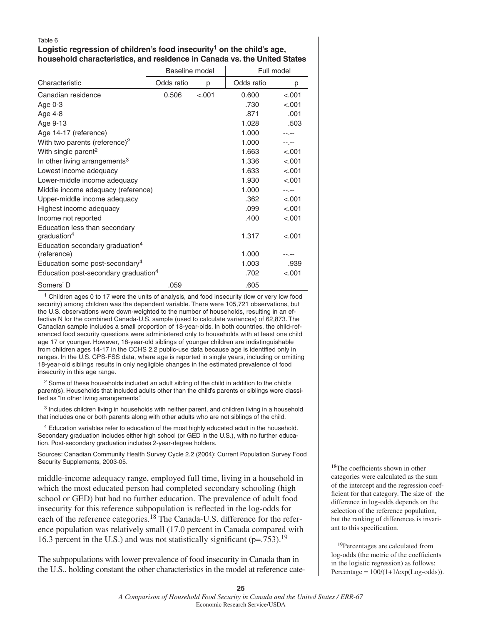#### Logistic regression of children's food insecurity<sup>1</sup> on the child's age, **household characteristics, and residence in Canada vs. the United States**

|                                                  | Baseline model |        |            | Full model |
|--------------------------------------------------|----------------|--------|------------|------------|
| Characteristic                                   | Odds ratio     | р      | Odds ratio | р          |
| Canadian residence                               | 0.506          | < .001 | 0.600      | $-.001$    |
| Age 0-3                                          |                |        | .730       | < .001     |
| Age 4-8                                          |                |        | .871       | .001       |
| Age 9-13                                         |                |        | 1.028      | .503       |
| Age 14-17 (reference)                            |                |        | 1.000      | --.--      |
| With two parents (reference) <sup>2</sup>        |                |        | 1.000      | --.--      |
| With single parent <sup>2</sup>                  |                |        | 1.663      | $-.001$    |
| In other living arrangements <sup>3</sup>        |                |        | 1.336      | < .001     |
| Lowest income adequacy                           |                |        | 1.633      | $-.001$    |
| Lower-middle income adequacy                     |                |        | 1.930      | $-.001$    |
| Middle income adequacy (reference)               |                |        | 1.000      | --.--      |
| Upper-middle income adequacy                     |                |        | .362       | $-.001$    |
| Highest income adequacy                          |                |        | .099       | $-.001$    |
| Income not reported                              |                |        | .400       | $-.001$    |
| Education less than secondary                    |                |        |            |            |
| graduation <sup>4</sup>                          |                |        | 1.317      | $-.001$    |
| Education secondary graduation <sup>4</sup>      |                |        |            |            |
| (reference)                                      |                |        | 1.000      |            |
| Education some post-secondary <sup>4</sup>       |                |        | 1.003      | .939       |
| Education post-secondary graduation <sup>4</sup> |                |        | .702       | $-.001$    |
| Somers' D                                        | .059           |        | .605       |            |

<sup>1</sup> Children ages 0 to 17 were the units of analysis, and food insecurity (low or very low food security) among children was the dependent variable. There were 105,721 observations, but the U.S. observations were down-weighted to the number of households, resulting in an effective N for the combined Canada-U.S. sample (used to calculate variances) of 62,873. The Canadian sample includes a small proportion of 18-year-olds. In both countries, the child-referenced food security questions were administered only to households with at least one child age 17 or younger. However, 18-year-old siblings of younger children are indistinguishable from children ages 14-17 in the CCHS 2.2 public-use data because age is identified only in ranges. In the U.S. CPS-FSS data, where age is reported in single years, including or omitting 18-year-old siblings results in only negligible changes in the estimated prevalence of food insecurity in this age range.

 $2$  Some of these households included an adult sibling of the child in addition to the child's parent(s). Households that included adults other than the child's parents or siblings were classified as "In other living arrangements."

 3 Includes children living in households with neither parent, and children living in a household that includes one or both parents along with other adults who are not siblings of the child.

 4 Education variables refer to education of the most highly educated adult in the household. Secondary graduation includes either high school (or GED in the U.S.), with no further education. Post-secondary graduation includes 2-year-degree holders.

Sources: Canadian Community Health Survey Cycle 2.2 (2004); Current Population Survey Food Security Supplements, 2003-05.

middle-income adequacy range, employed full time, living in a household in which the most educated person had completed secondary schooling (high school or GED) but had no further education. The prevalence of adult food insecurity for this reference subpopulation is reflected in the log-odds for each of the reference categories.<sup>18</sup> The Canada-U.S. difference for the reference population was relatively small (17.0 percent in Canada compared with 16.3 percent in the U.S.) and was not statistically significant ( $p = .753$ ).<sup>19</sup>

The subpopulations with lower prevalence of food insecurity in Canada than in the U.S., holding constant the other characteristics in the model at reference cate-

 $18$ The coefficients shown in other categories were calculated as the sum of the intercept and the regression coefficient for that category. The size of the difference in log-odds depends on the selection of the reference population, but the ranking of differences is invariant to this specification.

<sup>19</sup>Percentages are calculated from log-odds (the metric of the coefficients in the logistic regression) as follows: Percentage =  $100/(1+1/\exp(\text{Log-odds})).$ 

#### *A Comparison of Household Food Security in Canada and the United States / ERR-67* Economic Research Service/USDA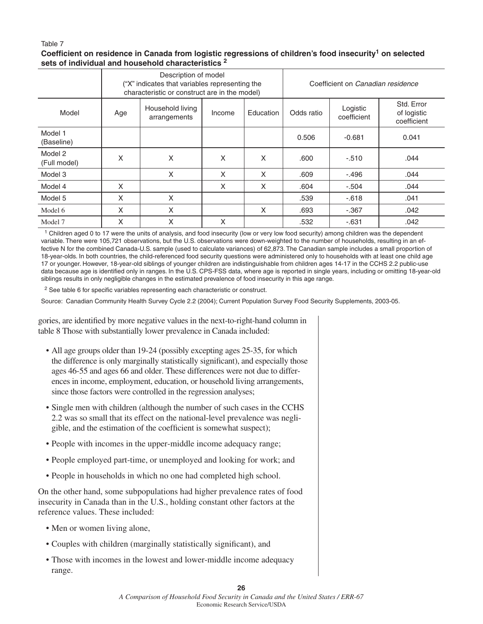#### Coefficient on residence in Canada from logistic regressions of children's food insecurity<sup>1</sup> on selected **sets of individual and household characteristics 2**

|                         | Description of model<br>"X" indicates that variables representing the<br>characteristic or construct are in the model) |                                  |        |           |            | Coefficient on Canadian residence |                                          |
|-------------------------|------------------------------------------------------------------------------------------------------------------------|----------------------------------|--------|-----------|------------|-----------------------------------|------------------------------------------|
| Model                   | Age                                                                                                                    | Household living<br>arrangements | Income | Education | Odds ratio | Logistic<br>coefficient           | Std. Error<br>of logistic<br>coefficient |
| Model 1<br>(Baseline)   |                                                                                                                        |                                  |        |           | 0.506      | $-0.681$                          | 0.041                                    |
| Model 2<br>(Full model) | X                                                                                                                      | X                                | X      | X         | .600       | $-.510$                           | .044                                     |
| Model 3                 |                                                                                                                        | X                                | X      | X         | .609       | $-.496$                           | .044                                     |
| Model 4                 | X                                                                                                                      |                                  | X      | X         | .604       | $-.504$                           | .044                                     |
| Model 5                 | X                                                                                                                      | X                                |        |           | .539       | $-0.618$                          | .041                                     |
| Model 6                 | X                                                                                                                      | X                                |        | X         | .693       | $-.367$                           | .042                                     |
| Model 7                 | X                                                                                                                      | X                                | X      |           | .532       | $-631$                            | .042                                     |

<sup>1</sup> Children aged 0 to 17 were the units of analysis, and food insecurity (low or very low food security) among children was the dependent variable. There were 105,721 observations, but the U.S. observations were down-weighted to the number of households, resulting in an effective N for the combined Canada-U.S. sample (used to calculate variances) of 62,873. The Canadian sample includes a small proportion of 18-year-olds. In both countries, the child-referenced food security questions were administered only to households with at least one child age 17 or younger. However, 18-year-old siblings of younger children are indistinguishable from children ages 14-17 in the CCHS 2.2 public-use data because age is identified only in ranges. In the U.S. CPS-FSS data, where age is reported in single years, including or omitting 18-year-old siblings results in only negligible changes in the estimated prevalence of food insecurity in this age range.

<sup>2</sup> See table 6 for specific variables representing each characteristic or construct.

Source: Canadian Community Health Survey Cycle 2.2 (2004); Current Population Survey Food Security Supplements, 2003-05.

gories, are identified by more negative values in the next-to-right-hand column in table 8 Those with substantially lower prevalence in Canada included:

- All age groups older than 19-24 (possibly excepting ages 25-35, for which the difference is only marginally statistically significant), and especially those ages 46-55 and ages 66 and older. These differences were not due to differences in income, employment, education, or household living arrangements, since those factors were controlled in the regression analyses;
- Single men with children (although the number of such cases in the CCHS 2.2 was so small that its effect on the national-level prevalence was negligible, and the estimation of the coefficient is somewhat suspect);
- People with incomes in the upper-middle income adequacy range;
- People employed part-time, or unemployed and looking for work; and
- People in households in which no one had completed high school.

On the other hand, some subpopulations had higher prevalence rates of food insecurity in Canada than in the U.S., holding constant other factors at the reference values. These included:

- Men or women living alone,
- Couples with children (marginally statistically significant), and
- Those with incomes in the lowest and lower-middle income adequacy range.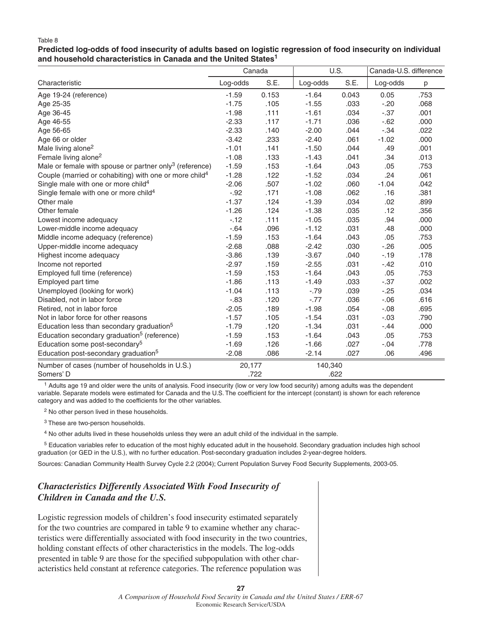**Predicted log-odds of food insecurity of adults based on logistic regression of food insecurity on individual and household characteristics in Canada and the United States1**

|                                                                     |          | Canada |          | U.S.  |          | Canada-U.S. difference |  |
|---------------------------------------------------------------------|----------|--------|----------|-------|----------|------------------------|--|
| Characteristic                                                      | Log-odds | S.E.   | Log-odds | S.E.  | Log-odds | р                      |  |
| Age 19-24 (reference)                                               | $-1.59$  | 0.153  | $-1.64$  | 0.043 | 0.05     | .753                   |  |
| Age 25-35                                                           | $-1.75$  | .105   | $-1.55$  | .033  | $-20$    | .068                   |  |
| Age 36-45                                                           | $-1.98$  | .111   | $-1.61$  | .034  | $-.37$   | .001                   |  |
| Age 46-55                                                           | $-2.33$  | .117   | $-1.71$  | .036  | $-62$    | .000                   |  |
| Age 56-65                                                           | $-2.33$  | .140   | $-2.00$  | .044  | $-.34$   | .022                   |  |
| Age 66 or older                                                     | $-3.42$  | .233   | $-2.40$  | .061  | $-1.02$  | .000                   |  |
| Male living alone <sup>2</sup>                                      | $-1.01$  | .141   | $-1.50$  | .044  | .49      | .001                   |  |
| Female living alone <sup>2</sup>                                    | $-1.08$  | .133   | $-1.43$  | .041  | .34      | .013                   |  |
| Male or female with spouse or partner only <sup>3</sup> (reference) | $-1.59$  | .153   | $-1.64$  | .043  | .05      | .753                   |  |
| Couple (married or cohabiting) with one or more child <sup>4</sup>  | $-1.28$  | .122   | $-1.52$  | .034  | .24      | .061                   |  |
| Single male with one or more child <sup>4</sup>                     | $-2.06$  | .507   | $-1.02$  | .060  | $-1.04$  | .042                   |  |
| Single female with one or more child <sup>4</sup>                   | $-.92$   | .171   | $-1.08$  | .062  | .16      | .381                   |  |
| Other male                                                          | $-1.37$  | .124   | $-1.39$  | .034  | .02      | .899                   |  |
| Other female                                                        | $-1.26$  | .124   | $-1.38$  | .035  | .12      | .356                   |  |
| Lowest income adequacy                                              | $-12$    | .111   | $-1.05$  | .035  | .94      | .000                   |  |
| Lower-middle income adequacy                                        | $-.64$   | .096   | $-1.12$  | .031  | .48      | .000                   |  |
| Middle income adequacy (reference)                                  | $-1.59$  | .153   | $-1.64$  | .043  | .05      | .753                   |  |
| Upper-middle income adequacy                                        | $-2.68$  | .088   | $-2.42$  | .030  | $-26$    | .005                   |  |
| Highest income adequacy                                             | $-3.86$  | .139   | $-3.67$  | .040  | $-19$    | .178                   |  |
| Income not reported                                                 | $-2.97$  | .159   | $-2.55$  | .031  | $-.42$   | .010                   |  |
| Employed full time (reference)                                      | $-1.59$  | .153   | $-1.64$  | .043  | .05      | .753                   |  |
| Employed part time                                                  | $-1.86$  | .113   | $-1.49$  | .033  | $-.37$   | .002                   |  |
| Unemployed (looking for work)                                       | $-1.04$  | .113   | $-.79$   | .039  | $-25$    | .034                   |  |
| Disabled, not in labor force                                        | $-0.83$  | .120   | $-.77$   | .036  | $-0.06$  | .616                   |  |
| Retired, not in labor force                                         | $-2.05$  | .189   | $-1.98$  | .054  | $-.08$   | .695                   |  |
| Not in labor force for other reasons                                | $-1.57$  | .105   | $-1.54$  | .031  | $-.03$   | .790                   |  |
| Education less than secondary graduation <sup>5</sup>               | $-1.79$  | .120   | $-1.34$  | .031  | $-.44$   | .000                   |  |
| Education secondary graduation <sup>5</sup> (reference)             | $-1.59$  | .153   | $-1.64$  | .043  | .05      | .753                   |  |
| Education some post-secondary <sup>5</sup>                          | $-1.69$  | .126   | $-1.66$  | .027  | $-.04$   | .778                   |  |
| Education post-secondary graduation <sup>5</sup>                    | $-2.08$  | .086   | $-2.14$  | .027  | .06      | .496                   |  |
| Number of cases (number of households in U.S.)                      | 20,177   |        | 140,340  |       |          |                        |  |
| Somers' D                                                           |          | .722   |          | .622  |          |                        |  |

<sup>1</sup> Adults age 19 and older were the units of analysis. Food insecurity (low or very low food security) among adults was the dependent variable. Separate models were estimated for Canada and the U.S. The coefficient for the intercept (constant) is shown for each reference category and was added to the coefficients for the other variables.

2 No other person lived in these households.

<sup>3</sup> These are two-person households.

4 No other adults lived in these households unless they were an adult child of the individual in the sample.

 5 Education variables refer to education of the most highly educated adult in the household. Secondary graduation includes high school graduation (or GED in the U.S.), with no further education. Post-secondary graduation includes 2-year-degree holders.

Sources: Canadian Community Health Survey Cycle 2.2 (2004); Current Population Survey Food Security Supplements, 2003-05.

#### *Characteristics Differently Associated With Food Insecurity of Children in Canada and the U.S.*

Logistic regression models of children's food insecurity estimated separately for the two countries are compared in table 9 to examine whether any characteristics were differentially associated with food insecurity in the two countries, holding constant effects of other characteristics in the models. The log-odds presented in table 9 are those for the specified subpopulation with other characteristics held constant at reference categories. The reference population was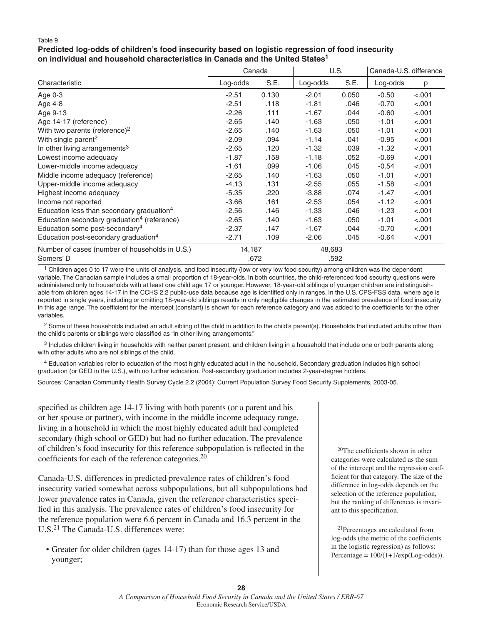#### **Predicted log-odds of children's food insecurity based on logistic regression of food insecurity on individual and household characteristics in Canada and the United States1**

|                                                         |          | Canada |          | U.S.  |          | Canada-U.S. difference |
|---------------------------------------------------------|----------|--------|----------|-------|----------|------------------------|
| Characteristic                                          | Log-odds | S.E.   | Log-odds | S.E.  | Log-odds | р                      |
| Age $0-3$                                               | $-2.51$  | 0.130  | $-2.01$  | 0.050 | $-0.50$  | $-.001$                |
| Age 4-8                                                 | $-2.51$  | .118   | $-1.81$  | .046  | $-0.70$  | < .001                 |
| Age 9-13                                                | $-2.26$  | .111   | $-1.67$  | .044  | $-0.60$  | < .001                 |
| Age 14-17 (reference)                                   | $-2.65$  | .140   | $-1.63$  | .050  | $-1.01$  | $-.001$                |
| With two parents (reference) <sup>2</sup>               | $-2.65$  | .140   | $-1.63$  | .050  | $-1.01$  | < .001                 |
| With single parent <sup>2</sup>                         | $-2.09$  | .094   | $-1.14$  | .041  | $-0.95$  | < .001                 |
| In other living arrangements <sup>3</sup>               | $-2.65$  | .120   | $-1.32$  | .039  | $-1.32$  | < .001                 |
| Lowest income adequacy                                  | $-1.87$  | .158   | $-1.18$  | .052  | $-0.69$  | < .001                 |
| Lower-middle income adequacy                            | $-1.61$  | .099   | $-1.06$  | .045  | $-0.54$  | < .001                 |
| Middle income adequacy (reference)                      | $-2.65$  | .140   | $-1.63$  | .050  | $-1.01$  | < .001                 |
| Upper-middle income adequacy                            | $-4.13$  | .131   | $-2.55$  | .055  | $-1.58$  | < .001                 |
| Highest income adequacy                                 | $-5.35$  | .220   | $-3.88$  | .074  | $-1.47$  | < .001                 |
| Income not reported                                     | $-3.66$  | .161   | $-2.53$  | .054  | $-1.12$  | < .001                 |
| Education less than secondary graduation <sup>4</sup>   | $-2.56$  | .146   | $-1.33$  | .046  | $-1.23$  | < .001                 |
| Education secondary graduation <sup>4</sup> (reference) | $-2.65$  | .140   | $-1.63$  | .050  | $-1.01$  | < .001                 |
| Education some post-secondary <sup>4</sup>              | $-2.37$  | .147   | $-1.67$  | .044  | $-0.70$  | < .001                 |
| Education post-secondary graduation <sup>4</sup>        | $-2.71$  | .109   | $-2.06$  | .045  | $-0.64$  | $-.001$                |
| Number of cases (number of households in U.S.)          | 14,187   |        | 48,683   |       |          |                        |
| Somers' D                                               |          | .672   |          | .592  |          |                        |

<sup>1</sup> Children ages 0 to 17 were the units of analysis, and food insecurity (low or very low food security) among children was the dependent variable. The Canadian sample includes a small proportion of 18-year-olds. In both countries, the child-referenced food security questions were administered only to households with at least one child age 17 or younger. However, 18-year-old siblings of younger children are indistinguishable from children ages 14-17 in the CCHS 2.2 public-use data because age is identified only in ranges. In the U.S. CPS-FSS data, where age is reported in single years, including or omitting 18-year-old siblings results in only negligible changes in the estimated prevalence of food insecurity in this age range. The coefficient for the intercept (constant) is shown for each reference category and was added to the coefficients for the other variables.

<sup>2</sup> Some of these households included an adult sibling of the child in addition to the child's parent(s). Households that included adults other than the child's parents or siblings were classified as "in other living arrangements."

<sup>3</sup> Includes children living in households with neither parent present, and children living in a household that include one or both parents along with other adults who are not siblings of the child.

4 Education variables refer to education of the most highly educated adult in the household. Secondary graduation includes high school graduation (or GED in the U.S.), with no further education. Post-secondary graduation includes 2-year-degree holders.

Sources: Canadian Community Health Survey Cycle 2.2 (2004); Current Population Survey Food Security Supplements, 2003-05.

specified as children age 14-17 living with both parents (or a parent and his or her spouse or partner), with income in the middle income adequacy range, living in a household in which the most highly educated adult had completed secondary (high school or GED) but had no further education. The prevalence of children's food insecurity for this reference subpopulation is reflected in the coefficients for each of the reference categories. $20$ 

Canada-U.S. differences in predicted prevalence rates of children's food insecurity varied somewhat across subpopulations, but all subpopulations had lower prevalence rates in Canada, given the reference characteristics specified in this analysis. The prevalence rates of children's food insecurity for the reference population were 6.6 percent in Canada and 16.3 percent in the U.S.21 The Canada-U.S. differences were:

• Greater for older children (ages 14-17) than for those ages 13 and younger;

<sup>20</sup>The coefficients shown in other categories were calculated as the sum of the intercept and the regression coefficient for that category. The size of the difference in log-odds depends on the selection of the reference population, but the ranking of differences is invariant to this specification.

21Percentages are calculated from log-odds (the metric of the coefficients in the logistic regression) as follows: Percentage =  $100/(1+1/\exp(Log-odds))$ .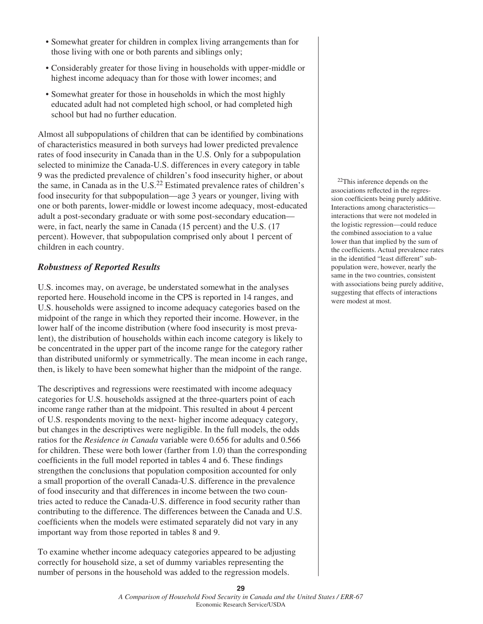- Somewhat greater for children in complex living arrangements than for those living with one or both parents and siblings only;
- Considerably greater for those living in households with upper-middle or highest income adequacy than for those with lower incomes; and
- Somewhat greater for those in households in which the most highly educated adult had not completed high school, or had completed high school but had no further education.

Almost all subpopulations of children that can be identified by combinations of characteristics measured in both surveys had lower predicted prevalence rates of food insecurity in Canada than in the U.S. Only for a subpopulation selected to minimize the Canada-U.S. differences in every category in table 9 was the predicted prevalence of children's food insecurity higher, or about the same, in Canada as in the U.S.<sup>22</sup> Estimated prevalence rates of children's food insecurity for that subpopulation—age 3 years or younger, living with one or both parents, lower-middle or lowest income adequacy, most-educated adult a post-secondary graduate or with some post-secondary education were, in fact, nearly the same in Canada (15 percent) and the U.S. (17 percent). However, that subpopulation comprised only about 1 percent of children in each country.

#### *Robustness of Reported Results*

U.S. incomes may, on average, be understated somewhat in the analyses reported here. Household income in the CPS is reported in 14 ranges, and U.S. households were assigned to income adequacy categories based on the midpoint of the range in which they reported their income. However, in the lower half of the income distribution (where food insecurity is most prevalent), the distribution of households within each income category is likely to be concentrated in the upper part of the income range for the category rather than distributed uniformly or symmetrically. The mean income in each range, then, is likely to have been somewhat higher than the midpoint of the range.

The descriptives and regressions were reestimated with income adequacy categories for U.S. households assigned at the three-quarters point of each income range rather than at the midpoint. This resulted in about 4 percent of U.S. respondents moving to the next- higher income adequacy category, but changes in the descriptives were negligible. In the full models, the odds ratios for the *Residence in Canada* variable were 0.656 for adults and 0.566 for children. These were both lower (farther from 1.0) than the corresponding coefficients in the full model reported in tables 4 and 6. These findings strengthen the conclusions that population composition accounted for only a small proportion of the overall Canada-U.S. difference in the prevalence of food insecurity and that differences in income between the two countries acted to reduce the Canada-U.S. difference in food security rather than contributing to the difference. The differences between the Canada and U.S. coefficients when the models were estimated separately did not vary in any important way from those reported in tables 8 and 9.

To examine whether income adequacy categories appeared to be adjusting correctly for household size, a set of dummy variables representing the number of persons in the household was added to the regression models.

 22This inference depends on the associations reflected in the regression coefficients being purely additive. Interactions among characteristics interactions that were not modeled in the logistic regression—could reduce the combined association to a value lower than that implied by the sum of the coefficients. Actual prevalence rates in the identified "least different" subpopulation were, however, nearly the same in the two countries, consistent with associations being purely additive, suggesting that effects of interactions were modest at most.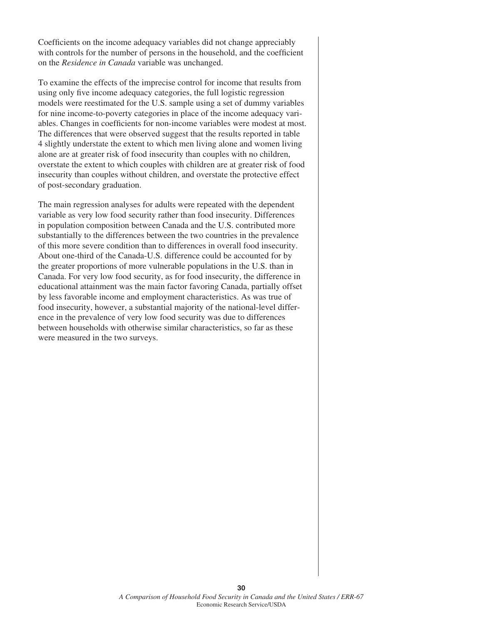Coefficients on the income adequacy variables did not change appreciably with controls for the number of persons in the household, and the coefficient on the *Residence in Canada* variable was unchanged.

To examine the effects of the imprecise control for income that results from using only five income adequacy categories, the full logistic regression models were reestimated for the U.S. sample using a set of dummy variables for nine income-to-poverty categories in place of the income adequacy variables. Changes in coefficients for non-income variables were modest at most. The differences that were observed suggest that the results reported in table 4 slightly understate the extent to which men living alone and women living alone are at greater risk of food insecurity than couples with no children, overstate the extent to which couples with children are at greater risk of food insecurity than couples without children, and overstate the protective effect of post-secondary graduation.

The main regression analyses for adults were repeated with the dependent variable as very low food security rather than food insecurity. Differences in population composition between Canada and the U.S. contributed more substantially to the differences between the two countries in the prevalence of this more severe condition than to differences in overall food insecurity. About one-third of the Canada-U.S. difference could be accounted for by the greater proportions of more vulnerable populations in the U.S. than in Canada. For very low food security, as for food insecurity, the difference in educational attainment was the main factor favoring Canada, partially offset by less favorable income and employment characteristics. As was true of food insecurity, however, a substantial majority of the national-level difference in the prevalence of very low food security was due to differences between households with otherwise similar characteristics, so far as these were measured in the two surveys.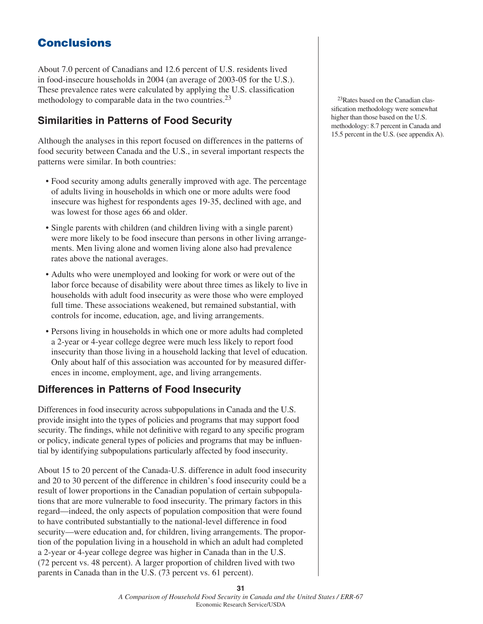# **Conclusions**

About 7.0 percent of Canadians and 12.6 percent of U.S. residents lived in food-insecure households in 2004 (an average of 2003-05 for the U.S.). These prevalence rates were calculated by applying the U.S. classification methodology to comparable data in the two countries.<sup>23</sup>

# **Similarities in Patterns of Food Security**

Although the analyses in this report focused on differences in the patterns of food security between Canada and the U.S., in several important respects the patterns were similar. In both countries:

- Food security among adults generally improved with age. The percentage of adults living in households in which one or more adults were food insecure was highest for respondents ages 19-35, declined with age, and was lowest for those ages 66 and older.
- Single parents with children (and children living with a single parent) were more likely to be food insecure than persons in other living arrangements. Men living alone and women living alone also had prevalence rates above the national averages.
- Adults who were unemployed and looking for work or were out of the labor force because of disability were about three times as likely to live in households with adult food insecurity as were those who were employed full time. These associations weakened, but remained substantial, with controls for income, education, age, and living arrangements.
- Persons living in households in which one or more adults had completed a 2-year or 4-year college degree were much less likely to report food insecurity than those living in a household lacking that level of education. Only about half of this association was accounted for by measured differences in income, employment, age, and living arrangements.

# **Differences in Patterns of Food Insecurity**

Differences in food insecurity across subpopulations in Canada and the U.S. provide insight into the types of policies and programs that may support food security. The findings, while not definitive with regard to any specific program or policy, indicate general types of policies and programs that may be influential by identifying subpopulations particularly affected by food insecurity.

About 15 to 20 percent of the Canada-U.S. difference in adult food insecurity and 20 to 30 percent of the difference in children's food insecurity could be a result of lower proportions in the Canadian population of certain subpopulations that are more vulnerable to food insecurity. The primary factors in this regard—indeed, the only aspects of population composition that were found to have contributed substantially to the national-level difference in food security—were education and, for children, living arrangements. The proportion of the population living in a household in which an adult had completed a 2-year or 4-year college degree was higher in Canada than in the U.S. (72 percent vs. 48 percent). A larger proportion of children lived with two parents in Canada than in the U.S. (73 percent vs. 61 percent).

 23Rates based on the Canadian classification methodology were somewhat higher than those based on the U.S. methodology: 8.7 percent in Canada and 15.5 percent in the U.S. (see appendix A).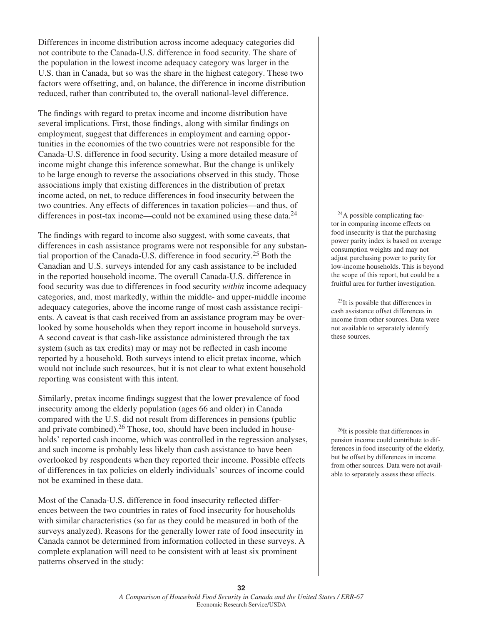Differences in income distribution across income adequacy categories did not contribute to the Canada-U.S. difference in food security. The share of the population in the lowest income adequacy category was larger in the U.S. than in Canada, but so was the share in the highest category. These two factors were offsetting, and, on balance, the difference in income distribution reduced, rather than contributed to, the overall national-level difference.

The findings with regard to pretax income and income distribution have several implications. First, those findings, along with similar findings on employment, suggest that differences in employment and earning opportunities in the economies of the two countries were not responsible for the Canada-U.S. difference in food security. Using a more detailed measure of income might change this inference somewhat. But the change is unlikely to be large enough to reverse the associations observed in this study. Those associations imply that existing differences in the distribution of pretax income acted, on net, to reduce differences in food insecurity between the two countries. Any effects of differences in taxation policies—and thus, of differences in post-tax income—could not be examined using these data. $^{24}$ 

The findings with regard to income also suggest, with some caveats, that differences in cash assistance programs were not responsible for any substantial proportion of the Canada-U.S. difference in food security.25 Both the Canadian and U.S. surveys intended for any cash assistance to be included in the reported household income. The overall Canada-U.S. difference in food security was due to differences in food security *within* income adequacy categories, and, most markedly, within the middle- and upper-middle income adequacy categories, above the income range of most cash assistance recipients. A caveat is that cash received from an assistance program may be overlooked by some households when they report income in household surveys. A second caveat is that cash-like assistance administered through the tax system (such as tax credits) may or may not be reflected in cash income reported by a household. Both surveys intend to elicit pretax income, which would not include such resources, but it is not clear to what extent household reporting was consistent with this intent.

Similarly, pretax income findings suggest that the lower prevalence of food insecurity among the elderly population (ages 66 and older) in Canada compared with the U.S. did not result from differences in pensions (public and private combined).26 Those, too, should have been included in households' reported cash income, which was controlled in the regression analyses, and such income is probably less likely than cash assistance to have been overlooked by respondents when they reported their income. Possible effects of differences in tax policies on elderly individuals' sources of income could not be examined in these data.

Most of the Canada-U.S. difference in food insecurity reflected differences between the two countries in rates of food insecurity for households with similar characteristics (so far as they could be measured in both of the surveys analyzed). Reasons for the generally lower rate of food insecurity in Canada cannot be determined from information collected in these surveys. A complete explanation will need to be consistent with at least six prominent patterns observed in the study:

 24A possible complicating factor in comparing income effects on food insecurity is that the purchasing power parity index is based on average consumption weights and may not adjust purchasing power to parity for low-income households. This is beyond the scope of this report, but could be a fruitful area for further investigation.

 25It is possible that differences in cash assistance offset differences in income from other sources. Data were not available to separately identify these sources.

<sup>26</sup>It is possible that differences in pension income could contribute to differences in food insecurity of the elderly, but be offset by differences in income from other sources. Data were not available to separately assess these effects.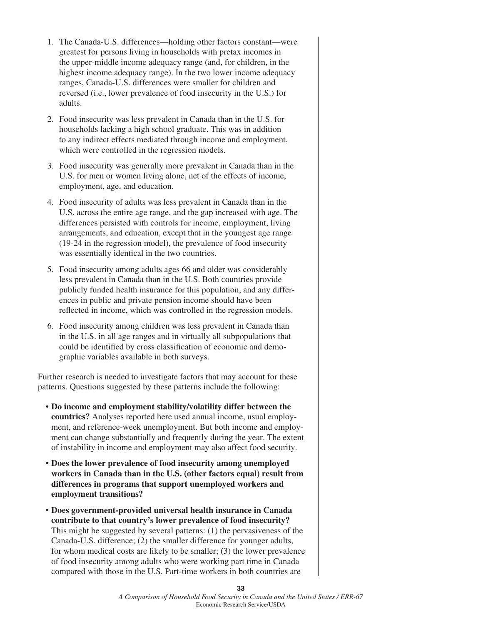- 1. The Canada-U.S. differences—holding other factors constant—were greatest for persons living in households with pretax incomes in the upper-middle income adequacy range (and, for children, in the highest income adequacy range). In the two lower income adequacy ranges, Canada-U.S. differences were smaller for children and reversed (i.e., lower prevalence of food insecurity in the U.S.) for adults.
- 2. Food insecurity was less prevalent in Canada than in the U.S. for households lacking a high school graduate. This was in addition to any indirect effects mediated through income and employment, which were controlled in the regression models.
- 3. Food insecurity was generally more prevalent in Canada than in the U.S. for men or women living alone, net of the effects of income, employment, age, and education.
- 4. Food insecurity of adults was less prevalent in Canada than in the U.S. across the entire age range, and the gap increased with age. The differences persisted with controls for income, employment, living arrangements, and education, except that in the youngest age range (19-24 in the regression model), the prevalence of food insecurity was essentially identical in the two countries.
- 5. Food insecurity among adults ages 66 and older was considerably less prevalent in Canada than in the U.S. Both countries provide publicly funded health insurance for this population, and any differences in public and private pension income should have been reflected in income, which was controlled in the regression models.
- 6. Food insecurity among children was less prevalent in Canada than in the U.S. in all age ranges and in virtually all subpopulations that could be identified by cross classification of economic and demographic variables available in both surveys.

Further research is needed to investigate factors that may account for these patterns. Questions suggested by these patterns include the following:

- **Do income and employment stability/volatility differ between the countries?** Analyses reported here used annual income, usual employment, and reference-week unemployment. But both income and employment can change substantially and frequently during the year. The extent of instability in income and employment may also affect food security.
- **Does the lower prevalence of food insecurity among unemployed workers in Canada than in the U.S. (other factors equal) result from differences in programs that support unemployed workers and employment transitions?**
- **Does government-provided universal health insurance in Canada contribute to that country's lower prevalence of food insecurity?** This might be suggested by several patterns: (1) the pervasiveness of the Canada-U.S. difference; (2) the smaller difference for younger adults, for whom medical costs are likely to be smaller; (3) the lower prevalence of food insecurity among adults who were working part time in Canada compared with those in the U.S. Part-time workers in both countries are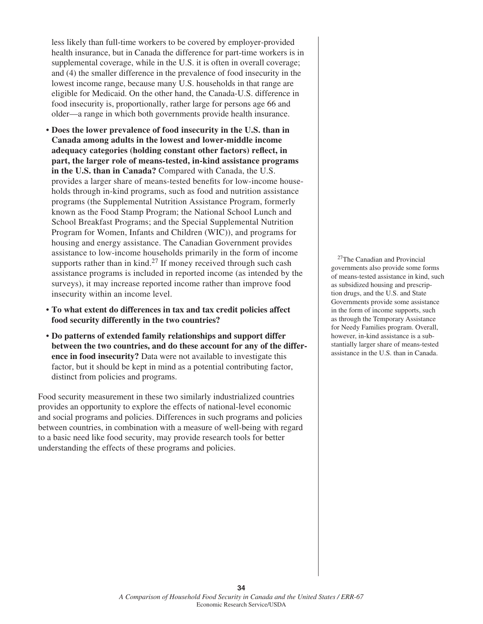less likely than full-time workers to be covered by employer-provided health insurance, but in Canada the difference for part-time workers is in supplemental coverage, while in the U.S. it is often in overall coverage; and (4) the smaller difference in the prevalence of food insecurity in the lowest income range, because many U.S. households in that range are eligible for Medicaid. On the other hand, the Canada-U.S. difference in food insecurity is, proportionally, rather large for persons age 66 and older—a range in which both governments provide health insurance.

- **Does the lower prevalence of food insecurity in the U.S. than in Canada among adults in the lowest and lower-middle income**  adequacy categories (holding constant other factors) reflect, in **part, the larger role of means-tested, in-kind assistance programs in the U.S. than in Canada?** Compared with Canada, the U.S. provides a larger share of means-tested benefits for low-income households through in-kind programs, such as food and nutrition assistance programs (the Supplemental Nutrition Assistance Program, formerly known as the Food Stamp Program; the National School Lunch and School Breakfast Programs; and the Special Supplemental Nutrition Program for Women, Infants and Children (WIC)), and programs for housing and energy assistance. The Canadian Government provides assistance to low-income households primarily in the form of income supports rather than in kind.<sup>27</sup> If money received through such cash assistance programs is included in reported income (as intended by the surveys), it may increase reported income rather than improve food insecurity within an income level.
- **To what extent do differences in tax and tax credit policies affect food security differently in the two countries?**
- **Do patterns of extended family relationships and support differ between the two countries, and do these account for any of the difference in food insecurity?** Data were not available to investigate this factor, but it should be kept in mind as a potential contributing factor, distinct from policies and programs.

Food security measurement in these two similarly industrialized countries provides an opportunity to explore the effects of national-level economic and social programs and policies. Differences in such programs and policies between countries, in combination with a measure of well-being with regard to a basic need like food security, may provide research tools for better understanding the effects of these programs and policies.

 27The Canadian and Provincial governments also provide some forms of means-tested assistance in kind, such as subsidized housing and prescription drugs, and the U.S. and State Governments provide some assistance in the form of income supports, such as through the Temporary Assistance for Needy Families program. Overall, however, in-kind assistance is a substantially larger share of means-tested assistance in the U.S. than in Canada.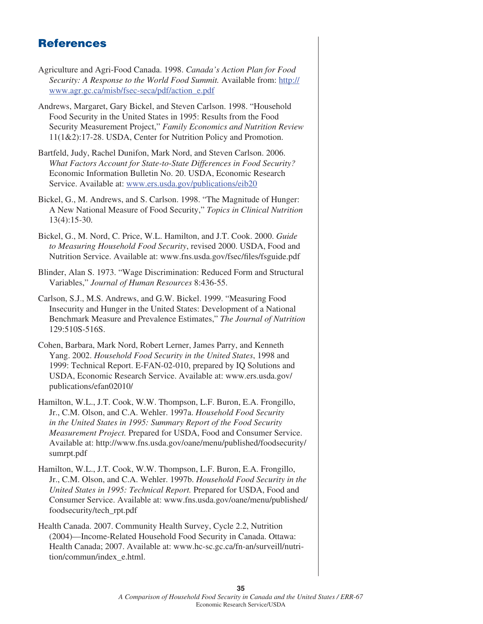# **References**

- Agriculture and Agri-Food Canada. 1998. *Canada's Action Plan for Food Security: A Response to the World Food Summit.* Available from: http:// www.agr.gc.ca/misb/fsec-seca/pdf/action\_e.pdf
- Andrews, Margaret, Gary Bickel, and Steven Carlson. 1998. "Household Food Security in the United States in 1995: Results from the Food Security Measurement Project," *Family Economics and Nutrition Review* 11(1&2):17-28. USDA, Center for Nutrition Policy and Promotion.
- Bartfeld, Judy, Rachel Dunifon, Mark Nord, and Steven Carlson. 2006. *What Factors Account for State-to-State Differences in Food Security?* Economic Information Bulletin No. 20. USDA, Economic Research Service. Available at: www.ers.usda.gov/publications/eib20
- Bickel, G., M. Andrews, and S. Carlson. 1998. "The Magnitude of Hunger: A New National Measure of Food Security," *Topics in Clinical Nutrition* 13(4):15-30.
- Bickel, G., M. Nord, C. Price, W.L. Hamilton, and J.T. Cook. 2000. *Guide to Measuring Household Food Security*, revised 2000. USDA, Food and Nutrition Service. Available at: www.fns.usda.gov/fsec/files/fsguide.pdf
- Blinder, Alan S. 1973. "Wage Discrimination: Reduced Form and Structural Variables," *Journal of Human Resources* 8:436-55.
- Carlson, S.J., M.S. Andrews, and G.W. Bickel. 1999. "Measuring Food Insecurity and Hunger in the United States: Development of a National Benchmark Measure and Prevalence Estimates," *The Journal of Nutrition* 129:510S-516S.
- Cohen, Barbara, Mark Nord, Robert Lerner, James Parry, and Kenneth Yang. 2002. *Household Food Security in the United States*, 1998 and 1999: Technical Report. E-FAN-02-010, prepared by IQ Solutions and USDA, Economic Research Service. Available at: www.ers.usda.gov/ publications/efan02010/
- Hamilton, W.L., J.T. Cook, W.W. Thompson, L.F. Buron, E.A. Frongillo, Jr., C.M. Olson, and C.A. Wehler. 1997a. *Household Food Security in the United States in 1995: Summary Report of the Food Security Measurement Project.* Prepared for USDA, Food and Consumer Service. Available at: http://www.fns.usda.gov/oane/menu/published/foodsecurity/ sumrpt.pdf
- Hamilton, W.L., J.T. Cook, W.W. Thompson, L.F. Buron, E.A. Frongillo, Jr., C.M. Olson, and C.A. Wehler. 1997b. *Household Food Security in the United States in 1995: Technical Report.* Prepared for USDA, Food and Consumer Service. Available at: www.fns.usda.gov/oane/menu/published/ foodsecurity/tech\_rpt.pdf
- Health Canada. 2007. Community Health Survey, Cycle 2.2, Nutrition (2004)—Income-Related Household Food Security in Canada. Ottawa: Health Canada; 2007. Available at: www.hc-sc.gc.ca/fn-an/surveill/nutrition/commun/index\_e.html.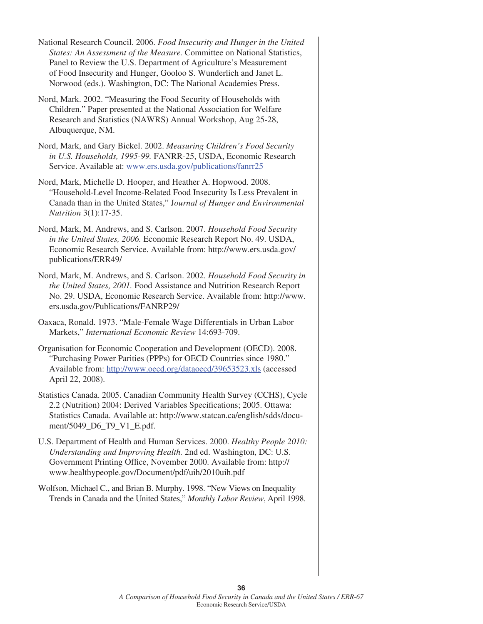National Research Council. 2006. *Food Insecurity and Hunger in the United States: An Assessment of the Measure.* Committee on National Statistics, Panel to Review the U.S. Department of Agriculture's Measurement of Food Insecurity and Hunger, Gooloo S. Wunderlich and Janet L. Norwood (eds.). Washington, DC: The National Academies Press.

- Nord, Mark. 2002. "Measuring the Food Security of Households with Children." Paper presented at the National Association for Welfare Research and Statistics (NAWRS) Annual Workshop, Aug 25-28, Albuquerque, NM.
- Nord, Mark, and Gary Bickel. 2002. *Measuring Children's Food Security in U.S. Households, 1995-99.* FANRR-25, USDA, Economic Research Service. Available at: www.ers.usda.gov/publications/fanrr25
- Nord, Mark, Michelle D. Hooper, and Heather A. Hopwood. 2008. "Household-Level Income-Related Food Insecurity Is Less Prevalent in Canada than in the United States," J*ournal of Hunger and Environmental Nutrition* 3(1):17-35.
- Nord, Mark, M. Andrews, and S. Carlson. 2007. *Household Food Security in the United States, 2006.* Economic Research Report No. 49. USDA, Economic Research Service. Available from: http://www.ers.usda.gov/ publications/ERR49/
- Nord, Mark, M. Andrews, and S. Carlson. 2002. *Household Food Security in the United States, 2001.* Food Assistance and Nutrition Research Report No. 29. USDA, Economic Research Service. Available from: http://www. ers.usda.gov/Publications/FANRP29/
- Oaxaca, Ronald. 1973. "Male-Female Wage Differentials in Urban Labor Markets," *International Economic Review* 14:693-709.
- Organisation for Economic Cooperation and Development (OECD). 2008. "Purchasing Power Parities (PPPs) for OECD Countries since 1980." Available from: http://www.oecd.org/dataoecd/39653523.xls (accessed April 22, 2008).
- Statistics Canada. 2005. Canadian Community Health Survey (CCHS), Cycle 2.2 (Nutrition) 2004: Derived Variables Specifications; 2005. Ottawa: Statistics Canada. Available at: http://www.statcan.ca/english/sdds/document/5049\_D6\_T9\_V1\_E.pdf.
- U.S. Department of Health and Human Services. 2000. *Healthy People 2010: Understanding and Improving Health.* 2nd ed. Washington, DC: U.S. Government Printing Office, November 2000. Available from: http:// www.healthypeople.gov/Document/pdf/uih/2010uih.pdf
- Wolfson, Michael C., and Brian B. Murphy. 1998. "New Views on Inequality Trends in Canada and the United States," *Monthly Labor Review*, April 1998.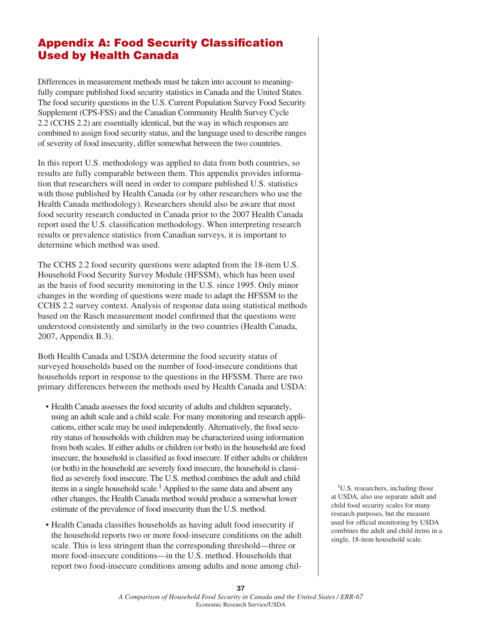# **Appendix A: Food Security Classification Used by Health Canada**

Differences in measurement methods must be taken into account to meaningfully compare published food security statistics in Canada and the United States. The food security questions in the U.S. Current Population Survey Food Security Supplement (CPS-FSS) and the Canadian Community Health Survey Cycle 2.2 (CCHS 2.2) are essentially identical, but the way in which responses are combined to assign food security status, and the language used to describe ranges of severity of food insecurity, differ somewhat between the two countries.

In this report U.S. methodology was applied to data from both countries, so results are fully comparable between them. This appendix provides information that researchers will need in order to compare published U.S. statistics with those published by Health Canada (or by other researchers who use the Health Canada methodology). Researchers should also be aware that most food security research conducted in Canada prior to the 2007 Health Canada report used the U.S. classification methodology. When interpreting research results or prevalence statistics from Canadian surveys, it is important to determine which method was used.

The CCHS 2.2 food security questions were adapted from the 18-item U.S. Household Food Security Survey Module (HFSSM), which has been used as the basis of food security monitoring in the U.S. since 1995. Only minor changes in the wording of questions were made to adapt the HFSSM to the CCHS 2.2 survey context. Analysis of response data using statistical methods based on the Rasch measurement model confirmed that the questions were understood consistently and similarly in the two countries (Health Canada, 2007, Appendix B.3).

Both Health Canada and USDA determine the food security status of surveyed households based on the number of food-insecure conditions that households report in response to the questions in the HFSSM. There are two primary differences between the methods used by Health Canada and USDA:

- Health Canada assesses the food security of adults and children separately, using an adult scale and a child scale. For many monitoring and research applications, either scale may be used independently. Alternatively, the food security status of households with children may be characterized using information from both scales. If either adults or children (or both) in the household are food insecure, the household is classified as food insecure. If either adults or children (or both) in the household are severely food insecure, the household is classified as severely food insecure. The U.S. method combines the adult and child items in a single household scale.<sup>1</sup> Applied to the same data and absent any other changes, the Health Canada method would produce a somewhat lower estimate of the prevalence of food insecurity than the U.S. method.
- Health Canada classifies households as having adult food insecurity if the household reports two or more food-insecure conditions on the adult scale. This is less stringent than the corresponding threshold—three or more food-insecure conditions—in the U.S. method. Households that report two food-insecure conditions among adults and none among chil-

<sup>1</sup>U.S. researchers, including those at USDA, also use separate adult and child food security scales for many research purposes, but the measure used for official monitoring by USDA combines the adult and child items in a single, 18-item household scale.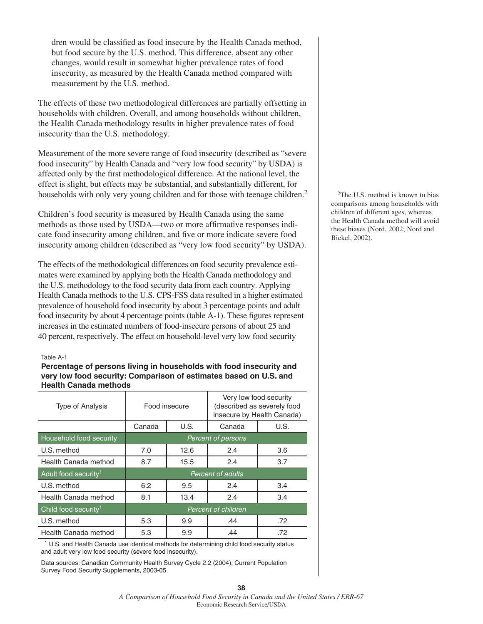dren would be classified as food insecure by the Health Canada method, but food secure by the U.S. method. This difference, absent any other changes, would result in somewhat higher prevalence rates of food insecurity, as measured by the Health Canada method compared with measurement by the U.S. method.

The effects of these two methodological differences are partially offsetting in households with children. Overall, and among households without children, the Health Canada methodology results in higher prevalence rates of food insecurity than the U.S. methodology.

Measurement of the more severe range of food insecurity (described as "severe food insecurity" by Health Canada and "very low food security" by USDA) is affected only by the first methodological difference. At the national level, the effect is slight, but effects may be substantial, and substantially different, for households with only very young children and for those with teenage children.<sup>2</sup>

Children's food security is measured by Health Canada using the same methods as those used by USDA—two or more affirmative responses indicate food insecurity among children, and five or more indicate severe food insecurity among children (described as "very low food security" by USDA).

The effects of the methodological differences on food security prevalence estimates were examined by applying both the Health Canada methodology and the U.S. methodology to the food security data from each country. Applying Health Canada methods to the U.S. CPS-FSS data resulted in a higher estimated prevalence of household food insecurity by about 3 percentage points and adult food insecurity by about 4 percentage points (table A-1). These figures represent increases in the estimated numbers of food-insecure persons of about 25 and 40 percent, respectively. The effect on household-level very low food security

#### Table A-1

#### **Percentage of persons living in households with food insecurity and very low food security: Comparison of estimates based on U.S. and Health Canada methods**

| Type of Analysis                 | Food insecure             |      | Very low food security<br>(described as severely food<br>insecure by Health Canada) |      |  |
|----------------------------------|---------------------------|------|-------------------------------------------------------------------------------------|------|--|
|                                  | Canada                    | U.S. | Canada                                                                              | U.S. |  |
| Household food security          | <b>Percent of persons</b> |      |                                                                                     |      |  |
| U.S. method                      | 7.0                       | 12.6 | 2.4                                                                                 | 3.6  |  |
| Health Canada method             | 8.7                       | 15.5 | 2.4                                                                                 | 3.7  |  |
| Adult food security <sup>1</sup> |                           |      | <b>Percent of adults</b>                                                            |      |  |
| U.S. method                      | 6.2                       | 9.5  | 2.4                                                                                 | 3.4  |  |
| Health Canada method             | 8.1                       | 13.4 | 2.4                                                                                 | 3.4  |  |
| Child food security <sup>1</sup> | Percent of children       |      |                                                                                     |      |  |
| U.S. method                      | 5.3                       | 9.9  | .44                                                                                 | .72  |  |
| Health Canada method             | 5.3                       | 9.9  | .44                                                                                 | .72  |  |

1 U.S. and Health Canada use identical methods for determining child food security status and adult very low food security (severe food insecurity).

Data sources: Canadian Community Health Survey Cycle 2.2 (2004); Current Population Survey Food Security Supplements, 2003-05.

 2The U.S. method is known to bias comparisons among households with children of different ages, whereas the Health Canada method will avoid these biases (Nord, 2002; Nord and Bickel, 2002).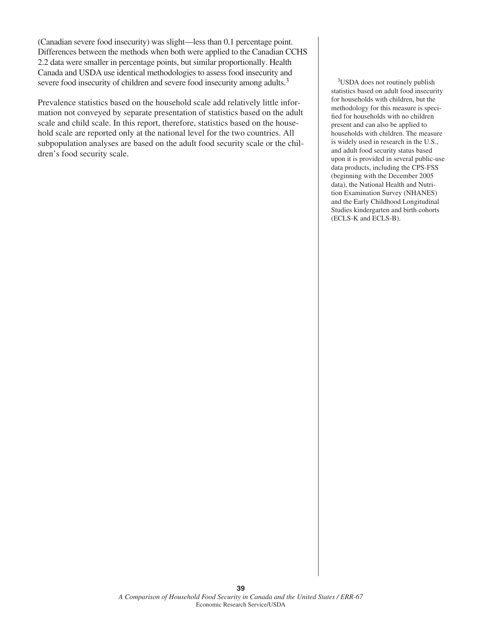(Canadian severe food insecurity) was slight—less than 0.1 percentage point. Differences between the methods when both were applied to the Canadian CCHS 2.2 data were smaller in percentage points, but similar proportionally. Health Canada and USDA use identical methodologies to assess food insecurity and severe food insecurity of children and severe food insecurity among adults.<sup>3</sup>

Prevalence statistics based on the household scale add relatively little information not conveyed by separate presentation of statistics based on the adult scale and child scale. In this report, therefore, statistics based on the household scale are reported only at the national level for the two countries. All subpopulation analyses are based on the adult food security scale or the children's food security scale.

 3USDA does not routinely publish statistics based on adult food insecurity for households with children, but the methodology for this measure is specified for households with no children present and can also be applied to households with children. The measure is widely used in research in the U.S., and adult food security status based upon it is provided in several public-use data products, including the CPS-FSS (beginning with the December 2005 data), the National Health and Nutrition Examination Survey (NHANES) and the Early Childhood Longitudinal Studies kindergarten and birth cohorts (ECLS-K and ECLS-B).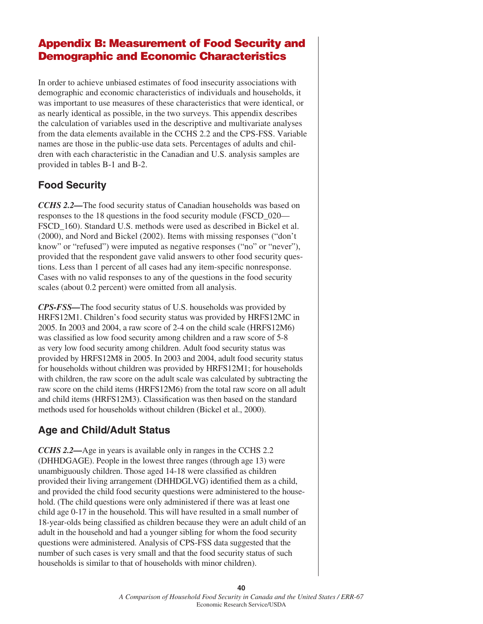# **Appendix B: Measurement of Food Security and Demographic and Economic Characteristics**

In order to achieve unbiased estimates of food insecurity associations with demographic and economic characteristics of individuals and households, it was important to use measures of these characteristics that were identical, or as nearly identical as possible, in the two surveys. This appendix describes the calculation of variables used in the descriptive and multivariate analyses from the data elements available in the CCHS 2.2 and the CPS-FSS. Variable names are those in the public-use data sets. Percentages of adults and children with each characteristic in the Canadian and U.S. analysis samples are provided in tables B-1 and B-2.

# **Food Security**

*CCHS 2.2—*The food security status of Canadian households was based on responses to the 18 questions in the food security module (FSCD\_020— FSCD 160). Standard U.S. methods were used as described in Bickel et al. (2000), and Nord and Bickel (2002). Items with missing responses ("don't know" or "refused") were imputed as negative responses ("no" or "never"), provided that the respondent gave valid answers to other food security questions. Less than 1 percent of all cases had any item-specific nonresponse. Cases with no valid responses to any of the questions in the food security scales (about 0.2 percent) were omitted from all analysis.

*CPS-FSS—*The food security status of U.S. households was provided by HRFS12M1. Children's food security status was provided by HRFS12MC in 2005. In 2003 and 2004, a raw score of 2-4 on the child scale (HRFS12M6) was classified as low food security among children and a raw score of 5-8 as very low food security among children. Adult food security status was provided by HRFS12M8 in 2005. In 2003 and 2004, adult food security status for households without children was provided by HRFS12M1; for households with children, the raw score on the adult scale was calculated by subtracting the raw score on the child items (HRFS12M6) from the total raw score on all adult and child items (HRFS12M3). Classification was then based on the standard methods used for households without children (Bickel et al., 2000).

# **Age and Child/Adult Status**

*CCHS 2.2—*Age in years is available only in ranges in the CCHS 2.2 (DHHDGAGE). People in the lowest three ranges (through age 13) were unambiguously children. Those aged 14-18 were classified as children provided their living arrangement (DHHDGLVG) identified them as a child, and provided the child food security questions were administered to the household. (The child questions were only administered if there was at least one child age 0-17 in the household. This will have resulted in a small number of 18-year-olds being classified as children because they were an adult child of an adult in the household and had a younger sibling for whom the food security questions were administered. Analysis of CPS-FSS data suggested that the number of such cases is very small and that the food security status of such households is similar to that of households with minor children).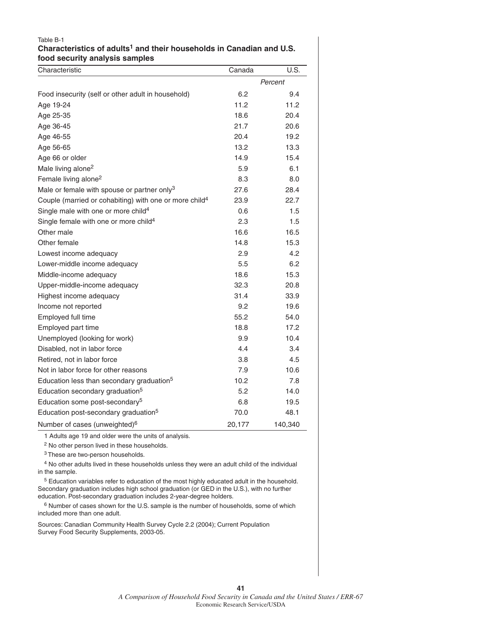#### Table B-1 **Characteristics of adults1 and their households in Canadian and U.S. food security analysis samples**

| Characteristic                                                     | Canada | U.S.    |
|--------------------------------------------------------------------|--------|---------|
|                                                                    |        | Percent |
| Food insecurity (self or other adult in household)                 | 6.2    | 9.4     |
| Age 19-24                                                          | 11.2   | 11.2    |
| Age 25-35                                                          | 18.6   | 20.4    |
| Age 36-45                                                          | 21.7   | 20.6    |
| Age 46-55                                                          | 20.4   | 19.2    |
| Age 56-65                                                          | 13.2   | 13.3    |
| Age 66 or older                                                    | 14.9   | 15.4    |
| Male living alone <sup>2</sup>                                     | 5.9    | 6.1     |
| Female living alone <sup>2</sup>                                   | 8.3    | 8.0     |
| Male or female with spouse or partner only <sup>3</sup>            | 27.6   | 28.4    |
| Couple (married or cohabiting) with one or more child <sup>4</sup> | 23.9   | 22.7    |
| Single male with one or more child <sup>4</sup>                    | 0.6    | 1.5     |
| Single female with one or more child <sup>4</sup>                  | 2.3    | 1.5     |
| Other male                                                         | 16.6   | 16.5    |
| Other female                                                       | 14.8   | 15.3    |
| Lowest income adequacy                                             | 2.9    | 4.2     |
| Lower-middle income adequacy                                       | 5.5    | 6.2     |
| Middle-income adequacy                                             | 18.6   | 15.3    |
| Upper-middle-income adequacy                                       | 32.3   | 20.8    |
| Highest income adequacy                                            | 31.4   | 33.9    |
| Income not reported                                                | 9.2    | 19.6    |
| Employed full time                                                 | 55.2   | 54.0    |
| Employed part time                                                 | 18.8   | 17.2    |
| Unemployed (looking for work)                                      | 9.9    | 10.4    |
| Disabled, not in labor force                                       | 4.4    | 3.4     |
| Retired, not in labor force                                        | 3.8    | 4.5     |
| Not in labor force for other reasons                               | 7.9    | 10.6    |
| Education less than secondary graduation <sup>5</sup>              | 10.2   | 7.8     |
| Education secondary graduation <sup>5</sup>                        | 5.2    | 14.0    |
| Education some post-secondary <sup>5</sup>                         | 6.8    | 19.5    |
| Education post-secondary graduation <sup>5</sup>                   | 70.0   | 48.1    |
| Number of cases (unweighted) <sup>6</sup>                          | 20,177 | 140,340 |

1 Adults age 19 and older were the units of analysis.

2 No other person lived in these households.

3 These are two-person households.

 4 No other adults lived in these households unless they were an adult child of the individual in the sample.

 5 Education variables refer to education of the most highly educated adult in the household. Secondary graduation includes high school graduation (or GED in the U.S.), with no further education. Post-secondary graduation includes 2-year-degree holders.

 6 Number of cases shown for the U.S. sample is the number of households, some of which included more than one adult.

Sources: Canadian Community Health Survey Cycle 2.2 (2004); Current Population Survey Food Security Supplements, 2003-05.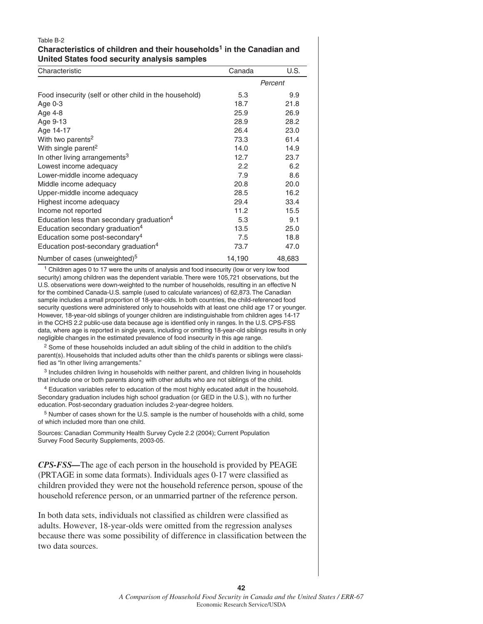#### Table B-2 **Characteristics of children and their households1 in the Canadian and United States food security analysis samples**

| Characteristic                                         | Canada  | U.S.   |
|--------------------------------------------------------|---------|--------|
|                                                        | Percent |        |
| Food insecurity (self or other child in the household) | 5.3     | 9.9    |
| Age 0-3                                                | 18.7    | 21.8   |
| Age 4-8                                                | 25.9    | 26.9   |
| Age 9-13                                               | 28.9    | 28.2   |
| Age 14-17                                              | 26.4    | 23.0   |
| With two parents <sup>2</sup>                          | 73.3    | 61.4   |
| With single parent <sup>2</sup>                        | 14.0    | 14.9   |
| In other living arrangements <sup>3</sup>              | 12.7    | 23.7   |
| Lowest income adequacy                                 | 2.2     | 6.2    |
| Lower-middle income adequacy                           | 7.9     | 8.6    |
| Middle income adequacy                                 | 20.8    | 20.0   |
| Upper-middle income adequacy                           | 28.5    | 16.2   |
| Highest income adequacy                                | 29.4    | 33.4   |
| Income not reported                                    | 11.2    | 15.5   |
| Education less than secondary graduation <sup>4</sup>  | 5.3     | 9.1    |
| Education secondary graduation <sup>4</sup>            | 13.5    | 25.0   |
| Education some post-secondary <sup>4</sup>             | 7.5     | 18.8   |
| Education post-secondary graduation <sup>4</sup>       | 73.7    | 47.0   |
| Number of cases (unweighted) <sup>5</sup>              | 14,190  | 48,683 |

<sup>1</sup> Children ages 0 to 17 were the units of analysis and food insecurity (low or very low food security) among children was the dependent variable. There were 105,721 observations, but the U.S. observations were down-weighted to the number of households, resulting in an effective N for the combined Canada-U.S. sample (used to calculate variances) of 62,873. The Canadian sample includes a small proportion of 18-year-olds. In both countries, the child-referenced food security questions were administered only to households with at least one child age 17 or younger. However, 18-year-old siblings of younger children are indistinguishable from children ages 14-17 in the CCHS 2.2 public-use data because age is identified only in ranges. In the U.S. CPS-FSS data, where age is reported in single years, including or omitting 18-year-old siblings results in only negligible changes in the estimated prevalence of food insecurity in this age range.

<sup>2</sup> Some of these households included an adult sibling of the child in addition to the child's parent(s). Households that included adults other than the child's parents or siblings were classified as "In other living arrangements."

<sup>3</sup> Includes children living in households with neither parent, and children living in households that include one or both parents along with other adults who are not siblings of the child.

 4 Education variables refer to education of the most highly educated adult in the household. Secondary graduation includes high school graduation (or GED in the U.S.), with no further education. Post-secondary graduation includes 2-year-degree holders.

 5 Number of cases shown for the U.S. sample is the number of households with a child, some of which included more than one child.

Sources: Canadian Community Health Survey Cycle 2.2 (2004); Current Population Survey Food Security Supplements, 2003-05.

*CPS-FSS—*The age of each person in the household is provided by PEAGE  $(PRTAGE$  in some data formats). Individuals ages  $0-17$  were classified as children provided they were not the household reference person, spouse of the household reference person, or an unmarried partner of the reference person.

In both data sets, individuals not classified as children were classified as adults. However, 18-year-olds were omitted from the regression analyses because there was some possibility of difference in classification between the two data sources.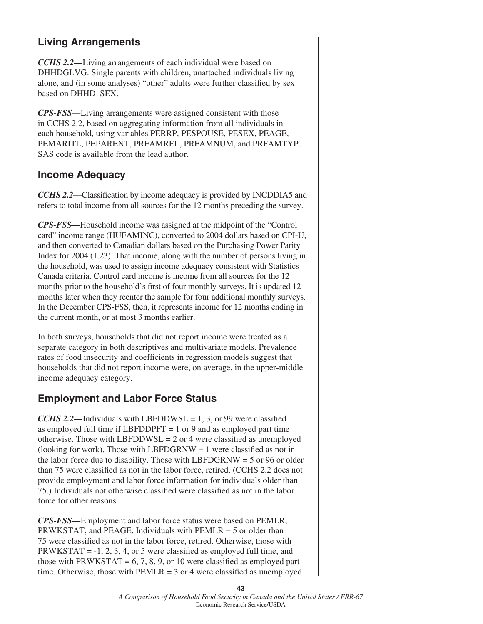# **Living Arrangements**

*CCHS 2.2—*Living arrangements of each individual were based on DHHDGLVG. Single parents with children, unattached individuals living alone, and (in some analyses) "other" adults were further classified by sex based on DHHD\_SEX.

*CPS-FSS—*Living arrangements were assigned consistent with those in CCHS 2.2, based on aggregating information from all individuals in each household, using variables PERRP, PESPOUSE, PESEX, PEAGE, PEMARITL, PEPARENT, PRFAMREL, PRFAMNUM, and PRFAMTYP. SAS code is available from the lead author.

### **Income Adequacy**

*CCHS 2.2—Classification by income adequacy is provided by INCDDIA5 and* refers to total income from all sources for the 12 months preceding the survey.

*CPS-FSS—*Household income was assigned at the midpoint of the "Control card" income range (HUFAMINC), converted to 2004 dollars based on CPI-U, and then converted to Canadian dollars based on the Purchasing Power Parity Index for 2004 (1.23). That income, along with the number of persons living in the household, was used to assign income adequacy consistent with Statistics Canada criteria. Control card income is income from all sources for the 12 months prior to the household's first of four monthly surveys. It is updated 12 months later when they reenter the sample for four additional monthly surveys. In the December CPS-FSS, then, it represents income for 12 months ending in the current month, or at most 3 months earlier.

In both surveys, households that did not report income were treated as a separate category in both descriptives and multivariate models. Prevalence rates of food insecurity and coefficients in regression models suggest that households that did not report income were, on average, in the upper-middle income adequacy category.

# **Employment and Labor Force Status**

*CCHS 2.2*—Individuals with LBFDDWSL = 1, 3, or 99 were classified as employed full time if  $LEFDDPFT = 1$  or 9 and as employed part time otherwise. Those with LBFDDWSL =  $2$  or 4 were classified as unemployed (looking for work). Those with LBFDGRNW  $= 1$  were classified as not in the labor force due to disability. Those with LBFDGRNW  $=$  5 or 96 or older than 75 were classified as not in the labor force, retired. (CCHS 2.2 does not provide employment and labor force information for individuals older than 75.) Individuals not otherwise classified were classified as not in the labor force for other reasons.

*CPS-FSS—*Employment and labor force status were based on PEMLR, PRWKSTAT, and PEAGE. Individuals with  $PEMLR = 5$  or older than 75 were classified as not in the labor force, retired. Otherwise, those with PRWKSTAT =  $-1$ , 2, 3, 4, or 5 were classified as employed full time, and those with PRWKSTAT =  $6, 7, 8, 9$ , or 10 were classified as employed part time. Otherwise, those with  $PEMLR = 3$  or 4 were classified as unemployed